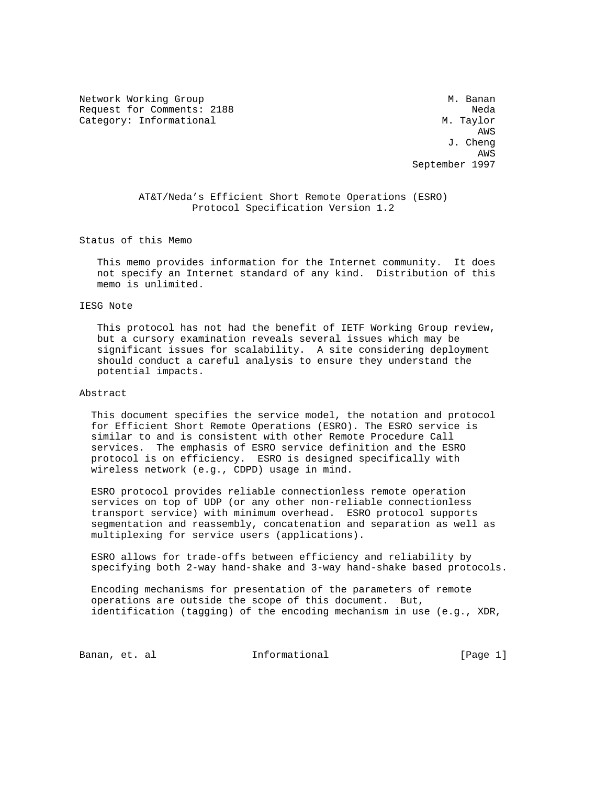Network Working Group Methods and Muslim Muslim Muslim Muslim Muslim Muslim Muslim Muslim Muslim Muslim Muslim Request for Comments: 2188 Neda Category: Informational M. Taylor

 AWS J. Cheng AWS September 1997

> AT&T/Neda's Efficient Short Remote Operations (ESRO) Protocol Specification Version 1.2

Status of this Memo

 This memo provides information for the Internet community. It does not specify an Internet standard of any kind. Distribution of this memo is unlimited.

#### IESG Note

 This protocol has not had the benefit of IETF Working Group review, but a cursory examination reveals several issues which may be significant issues for scalability. A site considering deployment should conduct a careful analysis to ensure they understand the potential impacts.

#### Abstract

 This document specifies the service model, the notation and protocol for Efficient Short Remote Operations (ESRO). The ESRO service is similar to and is consistent with other Remote Procedure Call services. The emphasis of ESRO service definition and the ESRO protocol is on efficiency. ESRO is designed specifically with wireless network (e.g., CDPD) usage in mind.

 ESRO protocol provides reliable connectionless remote operation services on top of UDP (or any other non-reliable connectionless transport service) with minimum overhead. ESRO protocol supports segmentation and reassembly, concatenation and separation as well as multiplexing for service users (applications).

 ESRO allows for trade-offs between efficiency and reliability by specifying both 2-way hand-shake and 3-way hand-shake based protocols.

 Encoding mechanisms for presentation of the parameters of remote operations are outside the scope of this document. But, identification (tagging) of the encoding mechanism in use (e.g., XDR,

Banan, et. al **Informational** (Page 1)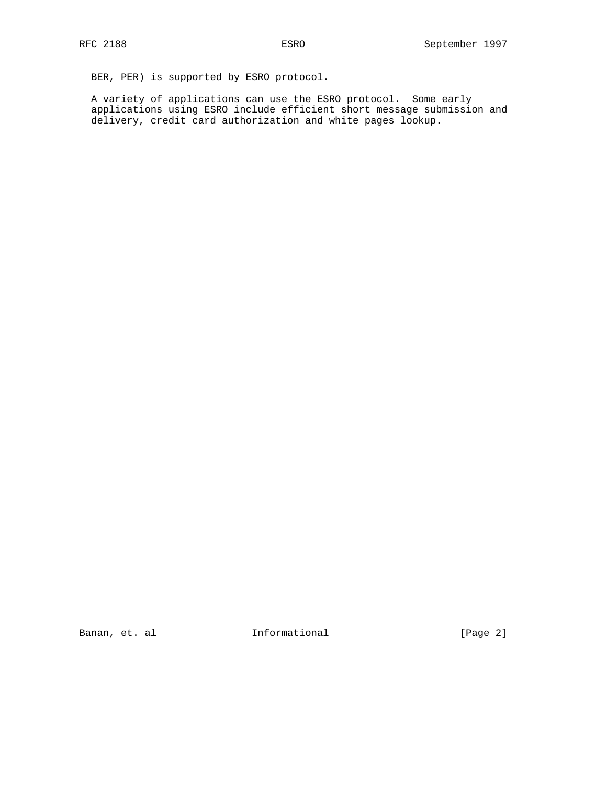BER, PER) is supported by ESRO protocol.

 A variety of applications can use the ESRO protocol. Some early applications using ESRO include efficient short message submission and delivery, credit card authorization and white pages lookup.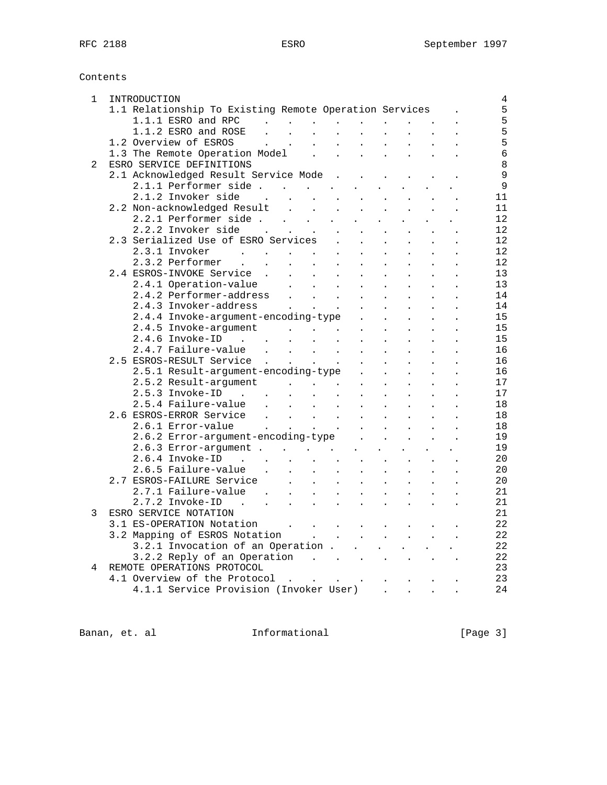Contents

| 1 | INTRODUCTION                                                                                                                                                                                                                   |
|---|--------------------------------------------------------------------------------------------------------------------------------------------------------------------------------------------------------------------------------|
|   | 1.1 Relationship To Existing Remote Operation Services                                                                                                                                                                         |
|   |                                                                                                                                                                                                                                |
|   | 1.1.1 ESRO and RPC $\cdot \cdot \cdot \cdot \cdot \cdot \cdot \cdot \cdot$<br>1.1.2 ESRO and ROSE $\cdot \cdot \cdot \cdot \cdot \cdot \cdot \cdot \cdot \cdot \cdot \cdot$                                                    |
|   | 1.2 Overview of ESROS<br>1.3 The Remote Operation Model                                                                                                                                                                        |
|   |                                                                                                                                                                                                                                |
| 2 | ESRO SERVICE DEFINITIONS                                                                                                                                                                                                       |
|   | 2.1 Acknowledged Result Service Mode                                                                                                                                                                                           |
|   | 2.1.1 Performer side                                                                                                                                                                                                           |
|   | $2.1.2$ Invoker side                                                                                                                                                                                                           |
|   |                                                                                                                                                                                                                                |
|   |                                                                                                                                                                                                                                |
|   |                                                                                                                                                                                                                                |
|   | 2.2.2 Invoker side<br>2.3 Serialized Use of ESRO Services                                                                                                                                                                      |
|   |                                                                                                                                                                                                                                |
|   | 2.3.1 Invoker<br>$\mathbf{L}^{\text{max}}$<br>$\mathbf{L}^{\text{max}}$<br>$\ddot{\phantom{0}}$                                                                                                                                |
|   | 2.3.2 Performer .<br>$\mathcal{A}^{\mathcal{A}}_{\mathcal{A}}$ , where $\mathcal{A}^{\mathcal{A}}_{\mathcal{A}}$ , $\mathcal{A}^{\mathcal{A}}_{\mathcal{A}}$ , and<br>$\sim 10^{-11}$<br>$\mathbf{L}^{\text{max}}$             |
|   | 2.4 ESROS-INVOKE Service.<br>$\sim$ $\sim$<br>$\mathcal{L}(\mathcal{A})$ and $\mathcal{L}(\mathcal{A})$<br>$\mathbf{L}$<br>$\mathbf{L}$                                                                                        |
|   | $\mathcal{L}^{\text{max}}$<br>$\ddot{\phantom{a}}$<br>$\ddot{\phantom{0}}$                                                                                                                                                     |
|   | 2.4.1 Operation-value<br>2.4.2 Performer-address                                                                                                                                                                               |
|   | 2.4.3 Invoker-address .<br>$\mathcal{L}(\mathcal{L})$ and $\mathcal{L}(\mathcal{L})$<br>$\sim$ $\sim$<br>$\sim$                                                                                                                |
|   | 2.4.4 Invoke-argument-encoding-type .<br>$\sim$ $\sim$<br>$\mathbf{L}^{\text{max}}$<br>$\mathbf{L}^{\text{max}}$                                                                                                               |
|   | 2.4.5 Invoke-argument<br>2.4.6 Invoke-ID<br>$\ddot{\phantom{0}}$<br>$\ddot{\phantom{a}}$                                                                                                                                       |
|   |                                                                                                                                                                                                                                |
|   | 2.4.7 Failure-value<br>$\mathcal{A}^{\mathcal{A}}_{\mathcal{A}}$ , $\mathcal{A}^{\mathcal{A}}_{\mathcal{A}}$ , $\mathcal{A}^{\mathcal{A}}_{\mathcal{A}}$ , $\mathcal{A}^{\mathcal{A}}_{\mathcal{A}}$ ,<br>$\ddot{\phantom{a}}$ |
|   | 2.5 ESROS-RESULT Service<br>$\sim$ $\sim$<br>$\mathbf{L}$                                                                                                                                                                      |
|   | 2.5.1 Result-argument-encoding-type .<br>$\mathcal{L}^{\text{max}}$<br>$\ddot{\phantom{a}}$<br>$\mathbf{L}$                                                                                                                    |
|   |                                                                                                                                                                                                                                |
|   | 2.5.2 Result-argument<br>2.5.3 Invoke-ID<br>$\ddot{\phantom{a}}$                                                                                                                                                               |
|   | $\ddot{\phantom{0}}$<br>$\ddot{\phantom{0}}$                                                                                                                                                                                   |
|   | 2.6 ESROS-ERROR Service<br>$\ddot{\phantom{0}}$                                                                                                                                                                                |
|   |                                                                                                                                                                                                                                |
|   | 2.6.2 Error-argument-encoding-type<br>$\sim$ $-$<br>$\sim$                                                                                                                                                                     |
|   |                                                                                                                                                                                                                                |
|   |                                                                                                                                                                                                                                |
|   | 2.6.5 Failure-value .                                                                                                                                                                                                          |
|   | $\mathcal{A}(\mathcal{A})$ , and $\mathcal{A}(\mathcal{A})$ , and<br>$\mathcal{L}_{\text{max}}$<br>$\mathbf{A}^{(1)}$ and                                                                                                      |
|   | 2.7 ESROS-FAILURE Service<br>$\mathbf{L}$<br>$\mathbf{r}$<br>$\mathbf{L} = \mathbf{L} \mathbf{L}$<br>$\sim$ $\sim$<br>$\mathbf{L}$                                                                                             |
|   | $2.7.1$ Failure-value<br>$\mathcal{L}^{\text{max}}$<br>$\sim 10^{-11}$<br>$\sim 10^{-10}$ km s $^{-1}$                                                                                                                         |
|   | 2.7.2 Invoke-ID.<br>$\mathbf{r}^{\prime}$ , $\mathbf{r}^{\prime}$ , $\mathbf{r}^{\prime}$ , $\mathbf{r}^{\prime}$ , $\mathbf{r}^{\prime}$ , $\mathbf{r}^{\prime}$<br>$\sim$ $-$<br>$\mathbf{L}^{\text{max}}$<br>$\sim$         |
| 3 | ESRO SERVICE NOTATION                                                                                                                                                                                                          |
|   | 3.1 ES-OPERATION Notation                                                                                                                                                                                                      |
|   |                                                                                                                                                                                                                                |
|   |                                                                                                                                                                                                                                |
|   | 3.2.2 Reply of an Operation $\cdot$                                                                                                                                                                                            |
| 4 | REMOTE OPERATIONS PROTOCOL                                                                                                                                                                                                     |
|   | 4.1 Overview of the Protocol                                                                                                                                                                                                   |
|   | 4.1.1 Service Provision (Invoker User)                                                                                                                                                                                         |

Banan, et. al **Informational** [Page 3]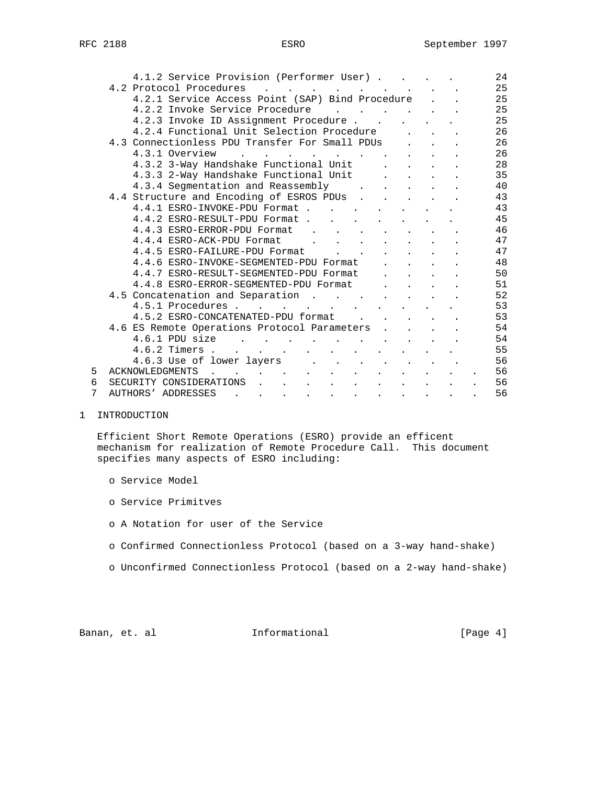|   | 4.1.2 Service Provision (Performer User)                                                                                                                                                 | 24                         |
|---|------------------------------------------------------------------------------------------------------------------------------------------------------------------------------------------|----------------------------|
|   |                                                                                                                                                                                          |                            |
|   | 4.2 Protocol Procedures .<br>$\mathbf{r}$ , and $\mathbf{r}$ , and $\mathbf{r}$<br>$\mathbf{L}$ and $\mathbf{L}$                                                                         | 25                         |
|   | 4.2.1 Service Access Point (SAP) Bind Procedure                                                                                                                                          | 25                         |
|   | 4.2.2 Invoke Service Procedure                                                                                                                                                           | 25                         |
|   | 4.2.3 Invoke ID Assignment Procedure                                                                                                                                                     | 25                         |
|   | 4.2.4 Functional Unit Selection Procedure<br>$\mathbf{r} = \mathbf{r} \cdot \mathbf{r}$                                                                                                  | 26                         |
|   | 4.3 Connectionless PDU Transfer For Small PDUs<br><b>Contract Contract</b>                                                                                                               | 26                         |
|   | 4.3.1 Overview<br><b><i>Company of the Company of the Company</i></b><br>the contract of the contract of the contract of the contract of the contract of the contract of the contract of | 26                         |
|   | 4.3.2 3-Way Handshake Functional Unit<br>$\mathbf{r} = \mathbf{r}$ and $\mathbf{r} = \mathbf{r}$                                                                                         | 28                         |
|   | 4.3.3 2-Way Handshake Functional Unit<br>$\mathbf{L}$<br>$\mathbf{r} = \mathbf{r}$                                                                                                       | 35                         |
|   | 4.3.4 Segmentation and Reassembly<br>$\mathbf{r}$ , $\mathbf{r}$ , $\mathbf{r}$ , $\mathbf{r}$ , $\mathbf{r}$                                                                            | 40                         |
|   | 4.4 Structure and Encoding of ESROS PDUs                                                                                                                                                 | 43                         |
|   | 4.4.1 ESRO-INVOKE-PDU Format.<br>$\mathbf{r}$ , and $\mathbf{r}$ , and $\mathbf{r}$ , and $\mathbf{r}$                                                                                   | 43                         |
|   | 4.4.2 ESRO-RESULT-PDU Format                                                                                                                                                             | 45                         |
|   | 4.4.3 ESRO-ERROR-PDU Format<br>and the contract of the contract of the                                                                                                                   | 46                         |
|   | 4.4.4 ESRO-ACK-PDU Format<br>$\mathbf{r} = \left\{ \mathbf{r} \in \mathbb{R}^d \mid \mathbf{r} \in \mathbb{R}^d \mid \mathbf{r} \in \mathbb{R}^d \right\}$                               | 47                         |
|   | 4.4.5 ESRO-FAILURE-PDU Format<br>$\mathbf{r}$ , and $\mathbf{r}$ , and $\mathbf{r}$                                                                                                      | 47                         |
|   | 4.4.6 ESRO-INVOKE-SEGMENTED-PDU Format<br>$\mathbf{r} = \mathbf{r}$                                                                                                                      | 48                         |
|   | 4.4.7 ESRO-RESULT-SEGMENTED-PDU Format<br>and the contract of the contract of the contract of the contract of the contract of the contract of the contract of                            | 50                         |
|   | 4.4.8 ESRO-ERROR-SEGMENTED-PDU Format<br>$\mathbf{r} = \mathbf{r}$ and $\mathbf{r} = \mathbf{r}$                                                                                         | 51                         |
|   | 4.5 Concatenation and Separation                                                                                                                                                         | 52                         |
|   |                                                                                                                                                                                          | 53                         |
|   | 4.5.1 Procedures                                                                                                                                                                         |                            |
|   | 4.5.2 ESRO-CONCATENATED-PDU format<br>$\mathbf{r}$ and $\mathbf{r}$ and $\mathbf{r}$ and $\mathbf{r}$                                                                                    | 53                         |
|   | 4.6 ES Remote Operations Protocol Parameters                                                                                                                                             | 54                         |
|   | $4.6.1$ PDU size<br>the contract of the contract of the contract of the contract of the contract of the contract of the contract of                                                      | 54                         |
|   | $4.6.2$ Timers                                                                                                                                                                           | 55                         |
|   | 4.6.3 Use of lower layers                                                                                                                                                                | 56                         |
| 5 | <b>ACKNOWLEDGMENTS</b><br>$\mathbf{r} = \mathbf{r} \cdot \mathbf{r}$ , where $\mathbf{r} = \mathbf{r} \cdot \mathbf{r}$                                                                  | 56                         |
| 6 | SECURITY CONSIDERATIONS .<br>$\sim$ $\sim$<br>the contract of the contract of the contract of the contract of                                                                            | 56<br>$\ddot{\phantom{a}}$ |
| 7 | <b>AUTHORS' ADDRESSES</b><br>$\bullet$ - $\bullet$ - $\bullet$ - $\bullet$ -<br>the contract of the contract of                                                                          | 56                         |

1 INTRODUCTION

 Efficient Short Remote Operations (ESRO) provide an efficent mechanism for realization of Remote Procedure Call. This document specifies many aspects of ESRO including:

- o Service Model
- o Service Primitves
- o A Notation for user of the Service
- o Confirmed Connectionless Protocol (based on a 3-way hand-shake)
- o Unconfirmed Connectionless Protocol (based on a 2-way hand-shake)

Banan, et. al informational informational [Page 4]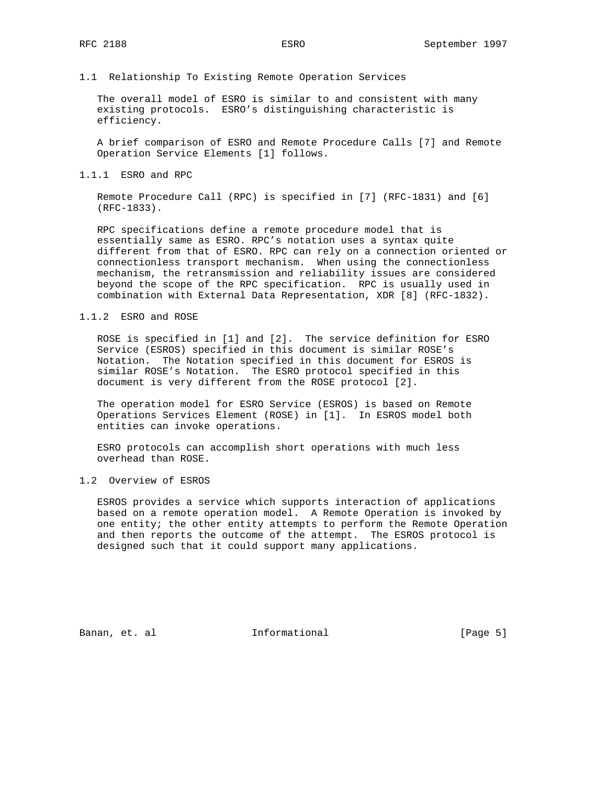#### 1.1 Relationship To Existing Remote Operation Services

 The overall model of ESRO is similar to and consistent with many existing protocols. ESRO's distinguishing characteristic is efficiency.

 A brief comparison of ESRO and Remote Procedure Calls [7] and Remote Operation Service Elements [1] follows.

#### 1.1.1 ESRO and RPC

 Remote Procedure Call (RPC) is specified in [7] (RFC-1831) and [6] (RFC-1833).

 RPC specifications define a remote procedure model that is essentially same as ESRO. RPC's notation uses a syntax quite different from that of ESRO. RPC can rely on a connection oriented or connectionless transport mechanism. When using the connectionless mechanism, the retransmission and reliability issues are considered beyond the scope of the RPC specification. RPC is usually used in combination with External Data Representation, XDR [8] (RFC-1832).

#### 1.1.2 ESRO and ROSE

 ROSE is specified in [1] and [2]. The service definition for ESRO Service (ESROS) specified in this document is similar ROSE's Notation. The Notation specified in this document for ESROS is similar ROSE's Notation. The ESRO protocol specified in this document is very different from the ROSE protocol [2].

 The operation model for ESRO Service (ESROS) is based on Remote Operations Services Element (ROSE) in [1]. In ESROS model both entities can invoke operations.

 ESRO protocols can accomplish short operations with much less overhead than ROSE.

#### 1.2 Overview of ESROS

 ESROS provides a service which supports interaction of applications based on a remote operation model. A Remote Operation is invoked by one entity; the other entity attempts to perform the Remote Operation and then reports the outcome of the attempt. The ESROS protocol is designed such that it could support many applications.

Banan, et. al **Informational Informational** [Page 5]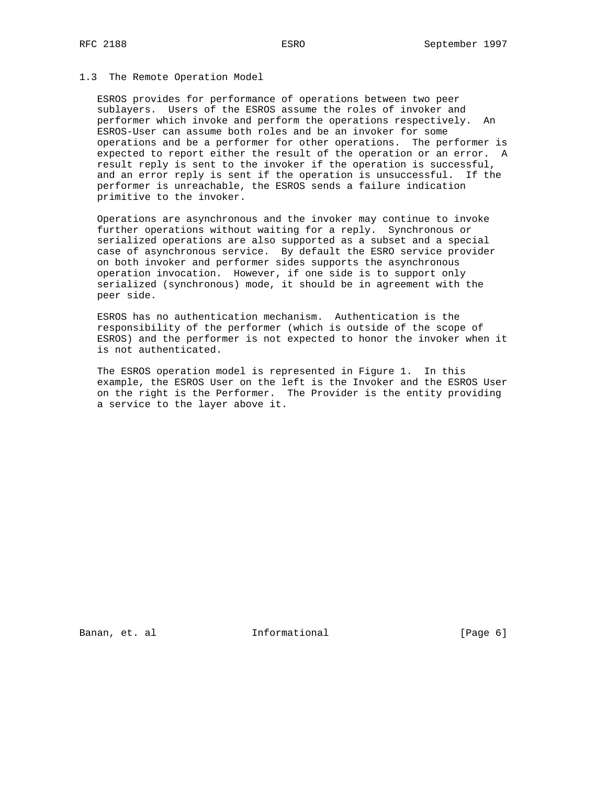### 1.3 The Remote Operation Model

 ESROS provides for performance of operations between two peer sublayers. Users of the ESROS assume the roles of invoker and performer which invoke and perform the operations respectively. An ESROS-User can assume both roles and be an invoker for some operations and be a performer for other operations. The performer is expected to report either the result of the operation or an error. A result reply is sent to the invoker if the operation is successful, and an error reply is sent if the operation is unsuccessful. If the performer is unreachable, the ESROS sends a failure indication primitive to the invoker.

 Operations are asynchronous and the invoker may continue to invoke further operations without waiting for a reply. Synchronous or serialized operations are also supported as a subset and a special case of asynchronous service. By default the ESRO service provider on both invoker and performer sides supports the asynchronous operation invocation. However, if one side is to support only serialized (synchronous) mode, it should be in agreement with the peer side.

 ESROS has no authentication mechanism. Authentication is the responsibility of the performer (which is outside of the scope of ESROS) and the performer is not expected to honor the invoker when it is not authenticated.

 The ESROS operation model is represented in Figure 1. In this example, the ESROS User on the left is the Invoker and the ESROS User on the right is the Performer. The Provider is the entity providing a service to the layer above it.

Banan, et. al **Informational** [Page 6]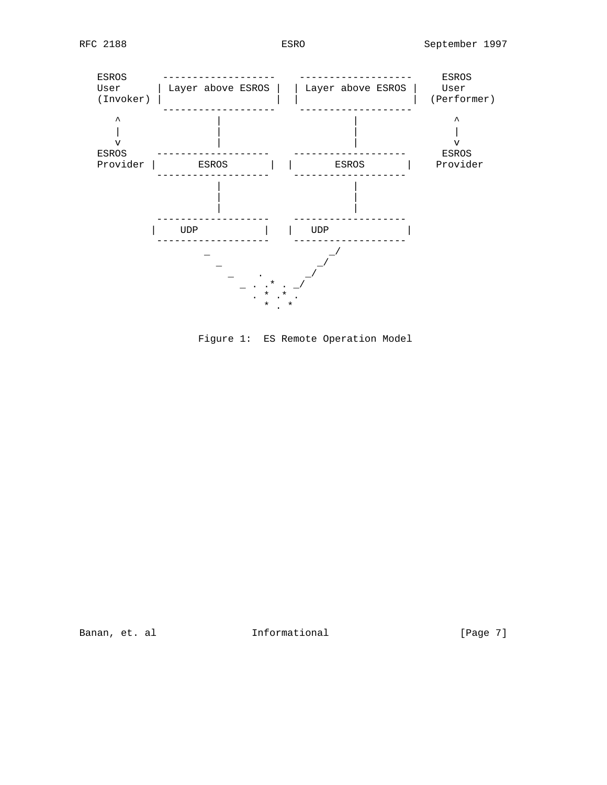

Figure 1: ES Remote Operation Model

Banan, et. al **Informational Informational** [Page 7]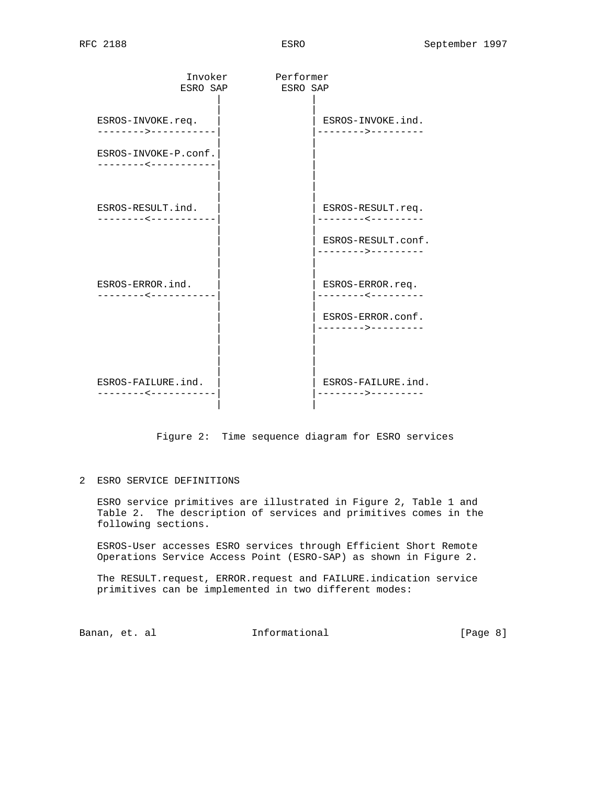| Invoker<br>ESRO SAP                                                 | Performer<br>ESRO SAP |                                                              |
|---------------------------------------------------------------------|-----------------------|--------------------------------------------------------------|
| ESROS-INVOKE.req.                                                   |                       | ESROS-INVOKE.ind.                                            |
| ------->-----------<br>ESROS-INVOKE-P.conf.<br>-------------------- |                       | ------->---------                                            |
| ESROS-RESULT.ind.<br>--------<-----------                           |                       | ESROS-RESULT.req.<br>. - - - - - - - < - - - - - - - - -     |
| ESROS-ERROR.ind.                                                    |                       | ESROS-RESULT.conf.<br>-------->---------<br>ESROS-ERROR.req. |
| --------<-----------                                                |                       | . _ _ _ _ _ _ _ _ _ _ _ _ _ _ _ _ _<br>ESROS-ERROR.conf.     |
| ESROS-FAILURE.ind.<br>$- - - - - - -$                               |                       | ESROS-FAILURE.ind.<br>------->------                         |

Figure 2: Time sequence diagram for ESRO services

### 2 ESRO SERVICE DEFINITIONS

 ESRO service primitives are illustrated in Figure 2, Table 1 and Table 2. The description of services and primitives comes in the following sections.

 ESROS-User accesses ESRO services through Efficient Short Remote Operations Service Access Point (ESRO-SAP) as shown in Figure 2.

 The RESULT.request, ERROR.request and FAILURE.indication service primitives can be implemented in two different modes:

Banan, et. al **Informational Informational** [Page 8]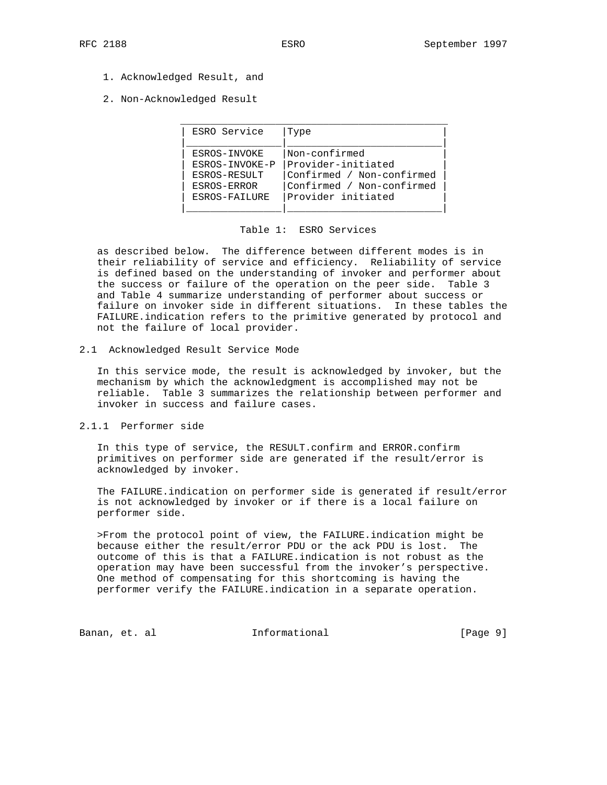- 1. Acknowledged Result, and
- 2. Non-Acknowledged Result

| ESRO Service   | Type                      |
|----------------|---------------------------|
|                |                           |
| ESROS-INVOKE   | Non-confirmed             |
| ESROS-INVOKE-P | Provider-initiated        |
| ESROS-RESULT   | Confirmed / Non-confirmed |
| ESROS-ERROR    | Confirmed / Non-confirmed |
| ESROS-FAILURE  | Provider initiated        |
|                |                           |

#### Table 1: ESRO Services

 as described below. The difference between different modes is in their reliability of service and efficiency. Reliability of service is defined based on the understanding of invoker and performer about the success or failure of the operation on the peer side. Table 3 and Table 4 summarize understanding of performer about success or failure on invoker side in different situations. In these tables the FAILURE.indication refers to the primitive generated by protocol and not the failure of local provider.

#### 2.1 Acknowledged Result Service Mode

 In this service mode, the result is acknowledged by invoker, but the mechanism by which the acknowledgment is accomplished may not be reliable. Table 3 summarizes the relationship between performer and invoker in success and failure cases.

### 2.1.1 Performer side

 In this type of service, the RESULT.confirm and ERROR.confirm primitives on performer side are generated if the result/error is acknowledged by invoker.

 The FAILURE.indication on performer side is generated if result/error is not acknowledged by invoker or if there is a local failure on performer side.

 >From the protocol point of view, the FAILURE.indication might be because either the result/error PDU or the ack PDU is lost. The outcome of this is that a FAILURE.indication is not robust as the operation may have been successful from the invoker's perspective. One method of compensating for this shortcoming is having the performer verify the FAILURE.indication in a separate operation.

Banan, et. al informational [Page 9]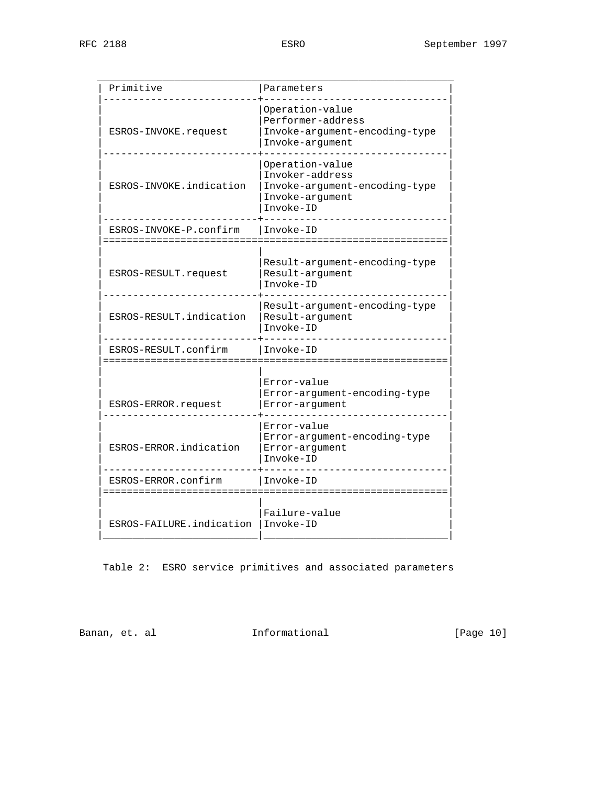| Primitive                                         | Parameters                                                                                          |
|---------------------------------------------------|-----------------------------------------------------------------------------------------------------|
| ESROS-INVOKE.request                              | Operation-value<br>Performer-address<br>Invoke-argument-encoding-type<br>Invoke-arqument            |
| ESROS-INVOKE.indication                           | Operation-value<br>Invoker-address<br>Invoke-argument-encoding-type<br>Invoke-argument<br>Invoke-ID |
| ESROS-INVOKE-P.confirm<br>======================= | Invoke-ID<br>:=======<br>:=================                                                         |
| ESROS-RESULT.request                              | Result-argument-encoding-type<br>Result-argument<br>Invoke-ID                                       |
| ESROS-RESULT.indication                           | Result-argument-encoding-type<br>Result-argument<br>Invoke-ID                                       |
| ESROS-RESULT.confirm                              | Invoke-ID                                                                                           |
| ESROS-ERROR.request                               | Error-value<br>Error-argument-encoding-type<br>Error-arqument                                       |
| ESROS-ERROR.indication                            | Error-value<br>Error-argument-encoding-type<br>Error-argument<br>Invoke-ID                          |
| ESROS-ERROR.confirm                               | Invoke-ID                                                                                           |
| :====================<br>ESROS-FAILURE.indication | Failure-value<br>Invoke-ID                                                                          |
|                                                   |                                                                                                     |

Table 2: ESRO service primitives and associated parameters

Banan, et. al informational informational [Page 10]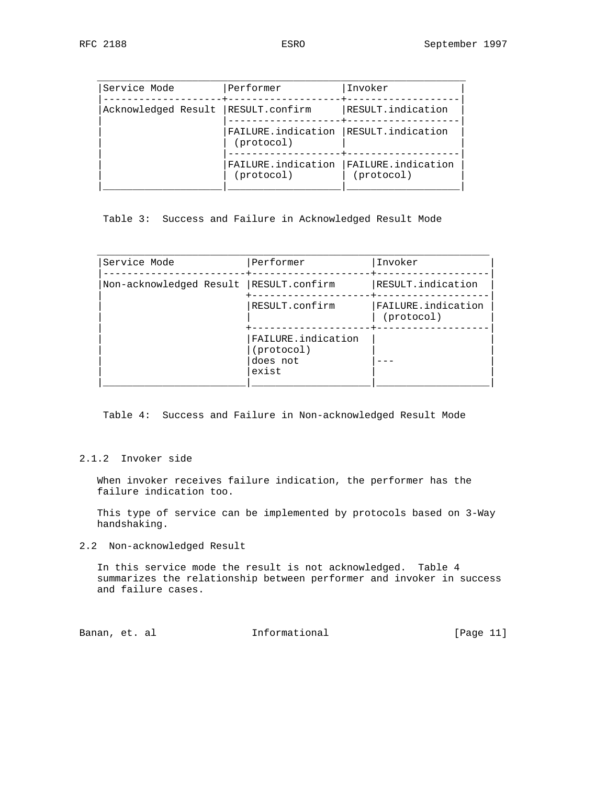| Service Mode        | Performer                        | Invoker                          |
|---------------------|----------------------------------|----------------------------------|
| Acknowledged Result | RESULT.confirm                   | RESULT.indication                |
|                     | FAILURE.indication<br>(protocol) | RESULT.indication                |
|                     | FAILURE.indication<br>(protocol) | FAILURE.indication<br>(protocol) |

Table 3: Success and Failure in Acknowledged Result Mode

| Service Mode            | Performer                                             | Invoker                          |
|-------------------------|-------------------------------------------------------|----------------------------------|
| Non-acknowledged Result | RESULT.confirm                                        | RESULT.indication                |
|                         | RESULT.confirm                                        | FAILURE.indication<br>(protocol) |
|                         | FAILURE.indication<br>(protocol)<br>does not<br>exist |                                  |

Table 4: Success and Failure in Non-acknowledged Result Mode

### 2.1.2 Invoker side

 When invoker receives failure indication, the performer has the failure indication too.

 This type of service can be implemented by protocols based on 3-Way handshaking.

2.2 Non-acknowledged Result

 In this service mode the result is not acknowledged. Table 4 summarizes the relationship between performer and invoker in success and failure cases.

Banan, et. al informational [Page 11]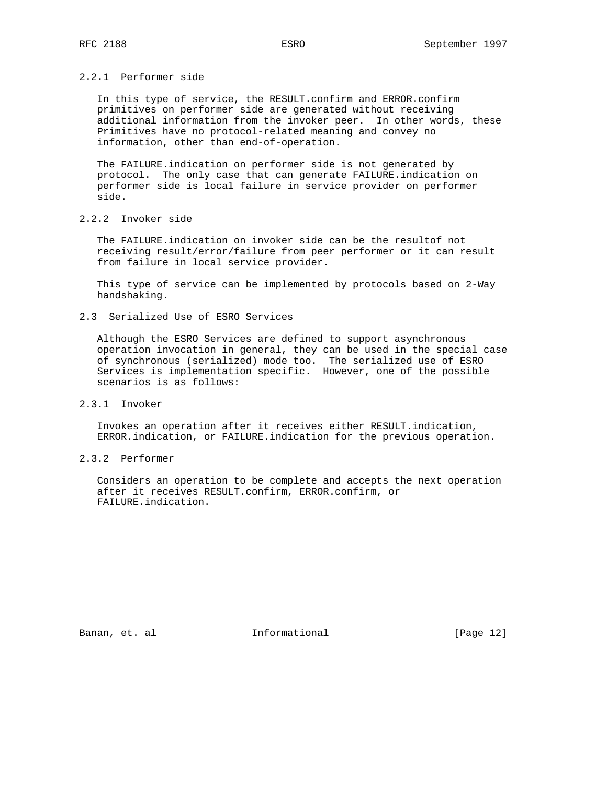### 2.2.1 Performer side

 In this type of service, the RESULT.confirm and ERROR.confirm primitives on performer side are generated without receiving additional information from the invoker peer. In other words, these Primitives have no protocol-related meaning and convey no information, other than end-of-operation.

 The FAILURE.indication on performer side is not generated by protocol. The only case that can generate FAILURE.indication on performer side is local failure in service provider on performer side.

### 2.2.2 Invoker side

 The FAILURE.indication on invoker side can be the resultof not receiving result/error/failure from peer performer or it can result from failure in local service provider.

 This type of service can be implemented by protocols based on 2-Way handshaking.

2.3 Serialized Use of ESRO Services

 Although the ESRO Services are defined to support asynchronous operation invocation in general, they can be used in the special case of synchronous (serialized) mode too. The serialized use of ESRO Services is implementation specific. However, one of the possible scenarios is as follows:

2.3.1 Invoker

 Invokes an operation after it receives either RESULT.indication, ERROR.indication, or FAILURE.indication for the previous operation.

2.3.2 Performer

 Considers an operation to be complete and accepts the next operation after it receives RESULT.confirm, ERROR.confirm, or FAILURE.indication.

Banan, et. al **Informational** [Page 12]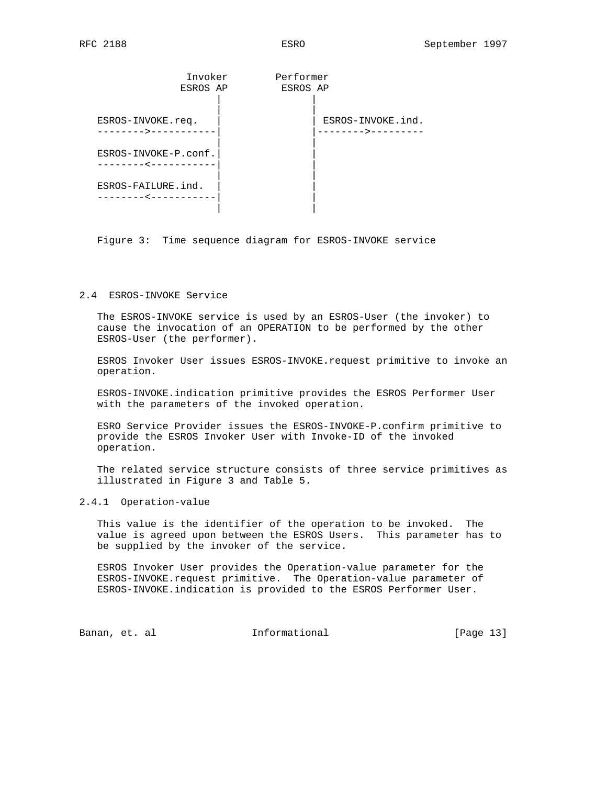| Invoker<br>ESROS AP                     | Performer<br>ESROS AP |                                    |
|-----------------------------------------|-----------------------|------------------------------------|
| ESROS-INVOKE.req.<br>------->-          |                       | ESROS-INVOKE.ind.<br>- – – – – > - |
| ESROS-INVOKE-P.conf.<br>- - - - - - < · |                       |                                    |
| ESROS-FAILURE.ind.                      |                       |                                    |

Figure 3: Time sequence diagram for ESROS-INVOKE service

### 2.4 ESROS-INVOKE Service

 The ESROS-INVOKE service is used by an ESROS-User (the invoker) to cause the invocation of an OPERATION to be performed by the other ESROS-User (the performer).

 ESROS Invoker User issues ESROS-INVOKE.request primitive to invoke an operation.

 ESROS-INVOKE.indication primitive provides the ESROS Performer User with the parameters of the invoked operation.

 ESRO Service Provider issues the ESROS-INVOKE-P.confirm primitive to provide the ESROS Invoker User with Invoke-ID of the invoked operation.

 The related service structure consists of three service primitives as illustrated in Figure 3 and Table 5.

### 2.4.1 Operation-value

 This value is the identifier of the operation to be invoked. The value is agreed upon between the ESROS Users. This parameter has to be supplied by the invoker of the service.

 ESROS Invoker User provides the Operation-value parameter for the ESROS-INVOKE.request primitive. The Operation-value parameter of ESROS-INVOKE.indication is provided to the ESROS Performer User.

Banan, et. al **Informational** [Page 13]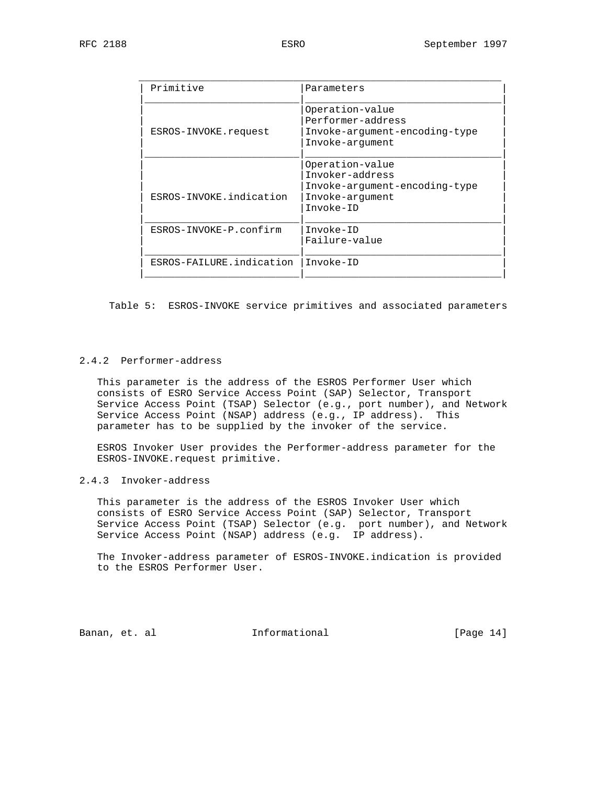| Primitive                | Parameters                    |
|--------------------------|-------------------------------|
|                          | Operation-value               |
|                          | Performer-address             |
| ESROS-INVOKE.request     | Invoke-argument-encoding-type |
|                          | Invoke-argument               |
|                          |                               |
|                          | Operation-value               |
|                          | Invoker-address               |
|                          | Invoke-argument-encoding-type |
| ESROS-INVOKE.indication  | Invoke-argument               |
|                          | Invoke-ID                     |
| ESROS-INVOKE-P.confirm   | Invoke-ID                     |
|                          | Failure-value                 |
|                          |                               |
| ESROS-FAILURE.indication | Invoke-ID                     |

Table 5: ESROS-INVOKE service primitives and associated parameters

## 2.4.2 Performer-address

 This parameter is the address of the ESROS Performer User which consists of ESRO Service Access Point (SAP) Selector, Transport Service Access Point (TSAP) Selector (e.g., port number), and Network Service Access Point (NSAP) address (e.g., IP address). This parameter has to be supplied by the invoker of the service.

 ESROS Invoker User provides the Performer-address parameter for the ESROS-INVOKE.request primitive.

2.4.3 Invoker-address

 This parameter is the address of the ESROS Invoker User which consists of ESRO Service Access Point (SAP) Selector, Transport Service Access Point (TSAP) Selector (e.g. port number), and Network Service Access Point (NSAP) address (e.g. IP address).

 The Invoker-address parameter of ESROS-INVOKE.indication is provided to the ESROS Performer User.

Banan, et. al informational [Page 14]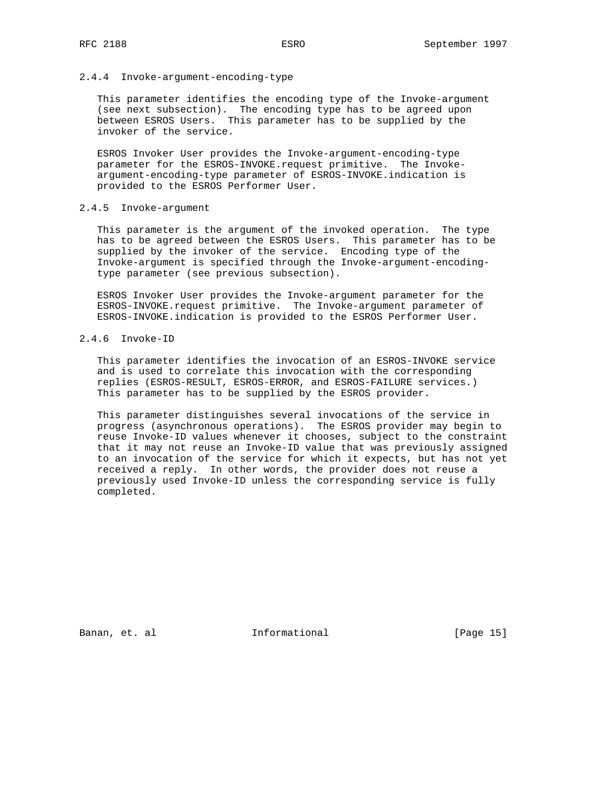### 2.4.4 Invoke-argument-encoding-type

 This parameter identifies the encoding type of the Invoke-argument (see next subsection). The encoding type has to be agreed upon between ESROS Users. This parameter has to be supplied by the invoker of the service.

 ESROS Invoker User provides the Invoke-argument-encoding-type parameter for the ESROS-INVOKE.request primitive. The Invoke argument-encoding-type parameter of ESROS-INVOKE.indication is provided to the ESROS Performer User.

#### 2.4.5 Invoke-argument

 This parameter is the argument of the invoked operation. The type has to be agreed between the ESROS Users. This parameter has to be supplied by the invoker of the service. Encoding type of the Invoke-argument is specified through the Invoke-argument-encoding type parameter (see previous subsection).

 ESROS Invoker User provides the Invoke-argument parameter for the ESROS-INVOKE.request primitive. The Invoke-argument parameter of ESROS-INVOKE.indication is provided to the ESROS Performer User.

### 2.4.6 Invoke-ID

 This parameter identifies the invocation of an ESROS-INVOKE service and is used to correlate this invocation with the corresponding replies (ESROS-RESULT, ESROS-ERROR, and ESROS-FAILURE services.) This parameter has to be supplied by the ESROS provider.

 This parameter distinguishes several invocations of the service in progress (asynchronous operations). The ESROS provider may begin to reuse Invoke-ID values whenever it chooses, subject to the constraint that it may not reuse an Invoke-ID value that was previously assigned to an invocation of the service for which it expects, but has not yet received a reply. In other words, the provider does not reuse a previously used Invoke-ID unless the corresponding service is fully completed.

Banan, et. al **Informational** [Page 15]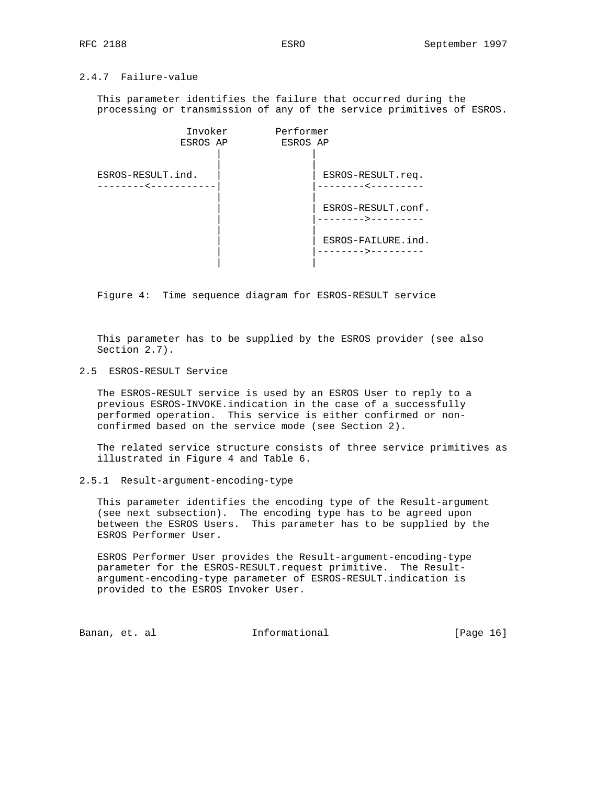### 2.4.7 Failure-value

 This parameter identifies the failure that occurred during the processing or transmission of any of the service primitives of ESROS.



Figure 4: Time sequence diagram for ESROS-RESULT service

 This parameter has to be supplied by the ESROS provider (see also Section 2.7).

2.5 ESROS-RESULT Service

 The ESROS-RESULT service is used by an ESROS User to reply to a previous ESROS-INVOKE.indication in the case of a successfully performed operation. This service is either confirmed or non confirmed based on the service mode (see Section 2).

 The related service structure consists of three service primitives as illustrated in Figure 4 and Table 6.

#### 2.5.1 Result-argument-encoding-type

 This parameter identifies the encoding type of the Result-argument (see next subsection). The encoding type has to be agreed upon between the ESROS Users. This parameter has to be supplied by the ESROS Performer User.

 ESROS Performer User provides the Result-argument-encoding-type parameter for the ESROS-RESULT.request primitive. The Result argument-encoding-type parameter of ESROS-RESULT.indication is provided to the ESROS Invoker User.

Banan, et. al **Informational** [Page 16]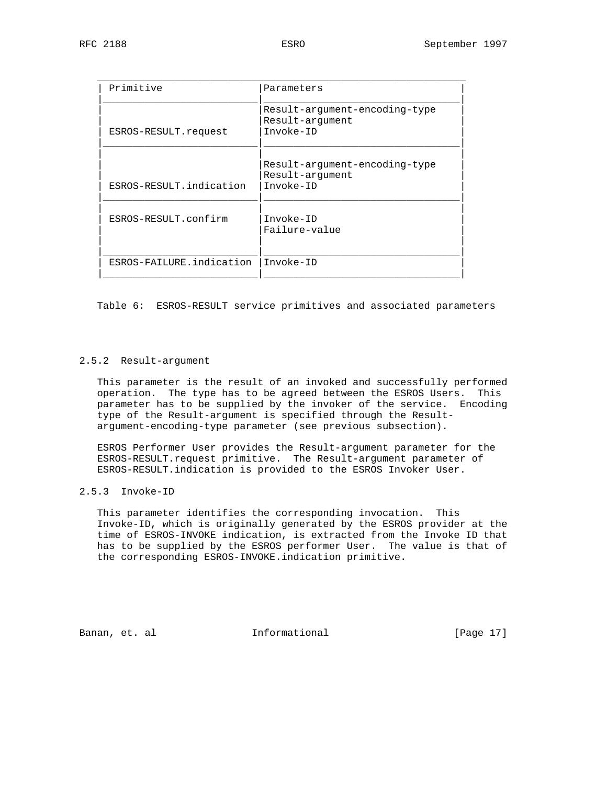| Primitive                | Parameters                                                    |
|--------------------------|---------------------------------------------------------------|
| ESROS-RESULT.request     | Result-argument-encoding-type<br>Result-argument<br>Invoke-ID |
| ESROS-RESULT.indication  | Result-argument-encoding-type<br>Result-argument<br>Invoke-ID |
| ESROS-RESULT.confirm     | Invoke-ID<br>Failure-value                                    |
| ESROS-FAILURE.indication | Invoke-ID                                                     |

Table 6: ESROS-RESULT service primitives and associated parameters

### 2.5.2 Result-argument

 This parameter is the result of an invoked and successfully performed operation. The type has to be agreed between the ESROS Users. This parameter has to be supplied by the invoker of the service. Encoding type of the Result-argument is specified through the Result argument-encoding-type parameter (see previous subsection).

 ESROS Performer User provides the Result-argument parameter for the ESROS-RESULT.request primitive. The Result-argument parameter of ESROS-RESULT.indication is provided to the ESROS Invoker User.

### 2.5.3 Invoke-ID

 This parameter identifies the corresponding invocation. This Invoke-ID, which is originally generated by the ESROS provider at the time of ESROS-INVOKE indication, is extracted from the Invoke ID that has to be supplied by the ESROS performer User. The value is that of the corresponding ESROS-INVOKE.indication primitive.

Banan, et. al **Informational** [Page 17]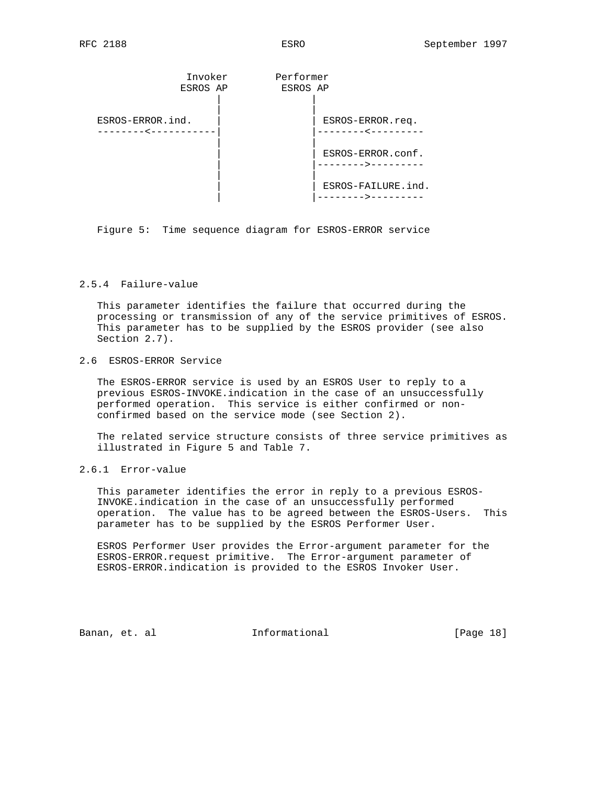| Invoker          | Performer                            |
|------------------|--------------------------------------|
| ESROS AP         | ESROS AP                             |
| ESROS-ERROR.ind. | ESROS-ERROR.req.                     |
| -------          | ---------                            |
|                  | ESROS-ERROR.conf.<br>------->------- |
|                  | ESROS-FAILURE.ind.                   |

Figure 5: Time sequence diagram for ESROS-ERROR service

### 2.5.4 Failure-value

 This parameter identifies the failure that occurred during the processing or transmission of any of the service primitives of ESROS. This parameter has to be supplied by the ESROS provider (see also Section 2.7).

### 2.6 ESROS-ERROR Service

 The ESROS-ERROR service is used by an ESROS User to reply to a previous ESROS-INVOKE.indication in the case of an unsuccessfully performed operation. This service is either confirmed or non confirmed based on the service mode (see Section 2).

 The related service structure consists of three service primitives as illustrated in Figure 5 and Table 7.

### 2.6.1 Error-value

 This parameter identifies the error in reply to a previous ESROS- INVOKE.indication in the case of an unsuccessfully performed operation. The value has to be agreed between the ESROS-Users. This parameter has to be supplied by the ESROS Performer User.

 ESROS Performer User provides the Error-argument parameter for the ESROS-ERROR.request primitive. The Error-argument parameter of ESROS-ERROR.indication is provided to the ESROS Invoker User.

Banan, et. al **Informational** [Page 18]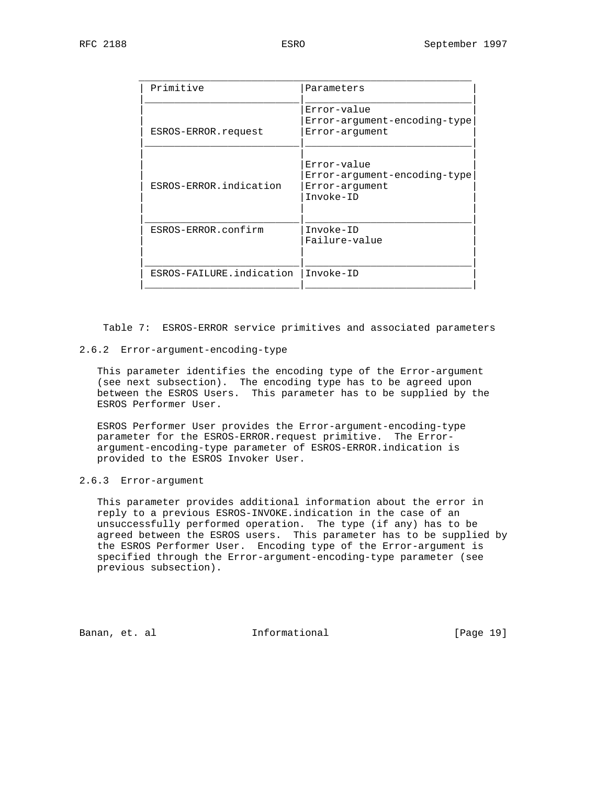| Primitive                | Parameters                                                                 |
|--------------------------|----------------------------------------------------------------------------|
| ESROS-ERROR.request      | Error-value<br>Error-argument-encoding-type<br>Error-arqument              |
| ESROS-ERROR.indication   | Error-value<br>Error-argument-encoding-type<br>Error-arqument<br>Invoke-ID |
| ESROS-ERROR.confirm      | $Invoke-ID$<br>Failure-value                                               |
| ESROS-FAILURE.indication | Invoke-ID                                                                  |

Table 7: ESROS-ERROR service primitives and associated parameters

#### 2.6.2 Error-argument-encoding-type

 This parameter identifies the encoding type of the Error-argument (see next subsection). The encoding type has to be agreed upon between the ESROS Users. This parameter has to be supplied by the ESROS Performer User.

 ESROS Performer User provides the Error-argument-encoding-type parameter for the ESROS-ERROR.request primitive. The Error argument-encoding-type parameter of ESROS-ERROR.indication is provided to the ESROS Invoker User.

### 2.6.3 Error-argument

 This parameter provides additional information about the error in reply to a previous ESROS-INVOKE.indication in the case of an unsuccessfully performed operation. The type (if any) has to be agreed between the ESROS users. This parameter has to be supplied by the ESROS Performer User. Encoding type of the Error-argument is specified through the Error-argument-encoding-type parameter (see previous subsection).

Banan, et. al **Informational** [Page 19]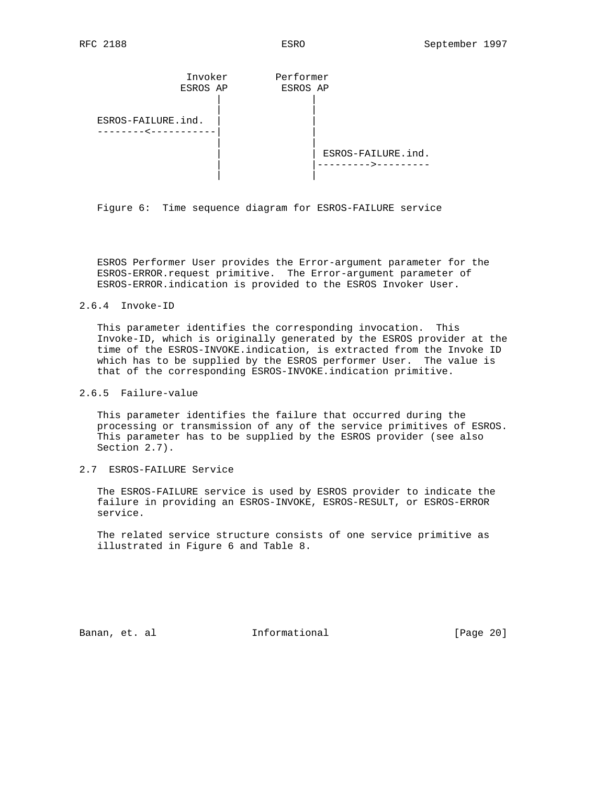

Figure 6: Time sequence diagram for ESROS-FAILURE service

 ESROS Performer User provides the Error-argument parameter for the ESROS-ERROR.request primitive. The Error-argument parameter of ESROS-ERROR.indication is provided to the ESROS Invoker User.

#### 2.6.4 Invoke-ID

 This parameter identifies the corresponding invocation. This Invoke-ID, which is originally generated by the ESROS provider at the time of the ESROS-INVOKE.indication, is extracted from the Invoke ID which has to be supplied by the ESROS performer User. The value is that of the corresponding ESROS-INVOKE.indication primitive.

#### 2.6.5 Failure-value

 This parameter identifies the failure that occurred during the processing or transmission of any of the service primitives of ESROS. This parameter has to be supplied by the ESROS provider (see also Section 2.7).

2.7 ESROS-FAILURE Service

 The ESROS-FAILURE service is used by ESROS provider to indicate the failure in providing an ESROS-INVOKE, ESROS-RESULT, or ESROS-ERROR service.

 The related service structure consists of one service primitive as illustrated in Figure 6 and Table 8.

Banan, et. al informational [Page 20]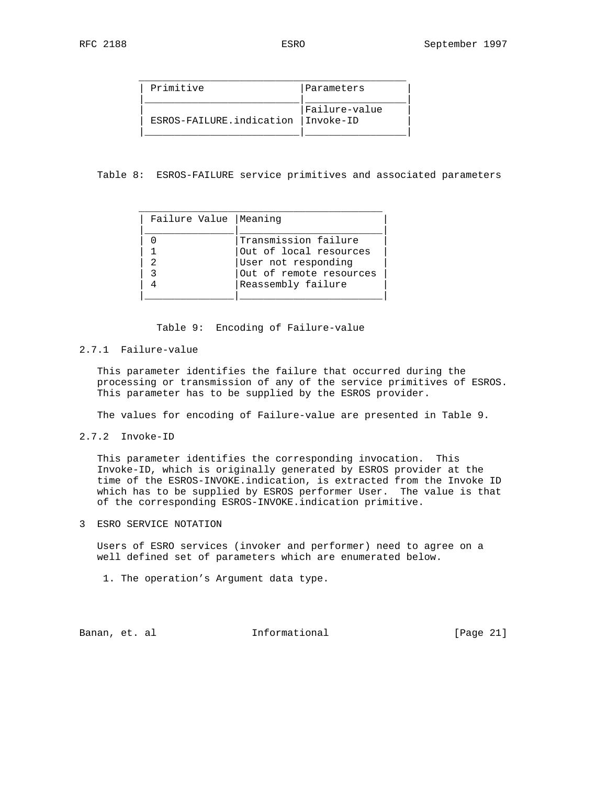| Primitive                            | Parameters    |
|--------------------------------------|---------------|
| ESROS-FAILURE.indication   Invoke-ID | Failure-value |

Table 8: ESROS-FAILURE service primitives and associated parameters

| Failure Value   Meaning |                         |
|-------------------------|-------------------------|
|                         | Transmission failure    |
|                         | Out of local resources  |
|                         | User not responding     |
|                         | Out of remote resources |
|                         | Reassembly failure      |
|                         |                         |

Table 9: Encoding of Failure-value

#### 2.7.1 Failure-value

 This parameter identifies the failure that occurred during the processing or transmission of any of the service primitives of ESROS. This parameter has to be supplied by the ESROS provider.

The values for encoding of Failure-value are presented in Table 9.

2.7.2 Invoke-ID

 This parameter identifies the corresponding invocation. This Invoke-ID, which is originally generated by ESROS provider at the time of the ESROS-INVOKE.indication, is extracted from the Invoke ID which has to be supplied by ESROS performer User. The value is that of the corresponding ESROS-INVOKE.indication primitive.

3 ESRO SERVICE NOTATION

 Users of ESRO services (invoker and performer) need to agree on a well defined set of parameters which are enumerated below.

1. The operation's Argument data type.

Banan, et. al informational [Page 21]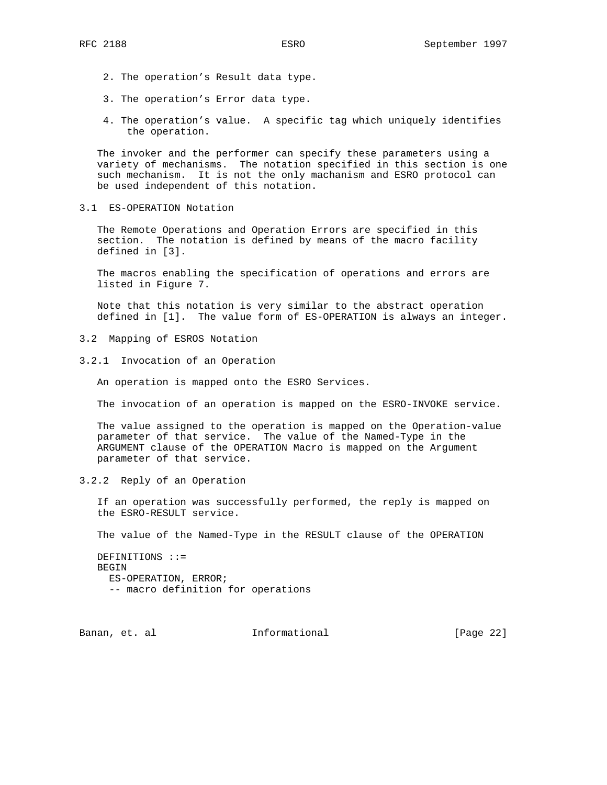- 2. The operation's Result data type.
- 3. The operation's Error data type.
- 4. The operation's value. A specific tag which uniquely identifies the operation.

 The invoker and the performer can specify these parameters using a variety of mechanisms. The notation specified in this section is one such mechanism. It is not the only machanism and ESRO protocol can be used independent of this notation.

3.1 ES-OPERATION Notation

 The Remote Operations and Operation Errors are specified in this section. The notation is defined by means of the macro facility defined in [3].

 The macros enabling the specification of operations and errors are listed in Figure 7.

 Note that this notation is very similar to the abstract operation defined in [1]. The value form of ES-OPERATION is always an integer.

- 3.2 Mapping of ESROS Notation
- 3.2.1 Invocation of an Operation

An operation is mapped onto the ESRO Services.

The invocation of an operation is mapped on the ESRO-INVOKE service.

 The value assigned to the operation is mapped on the Operation-value parameter of that service. The value of the Named-Type in the ARGUMENT clause of the OPERATION Macro is mapped on the Argument parameter of that service.

3.2.2 Reply of an Operation

 If an operation was successfully performed, the reply is mapped on the ESRO-RESULT service.

The value of the Named-Type in the RESULT clause of the OPERATION

 DEFINITIONS ::= BEGIN ES-OPERATION, ERROR; -- macro definition for operations

Banan, et. al informational informational [Page 22]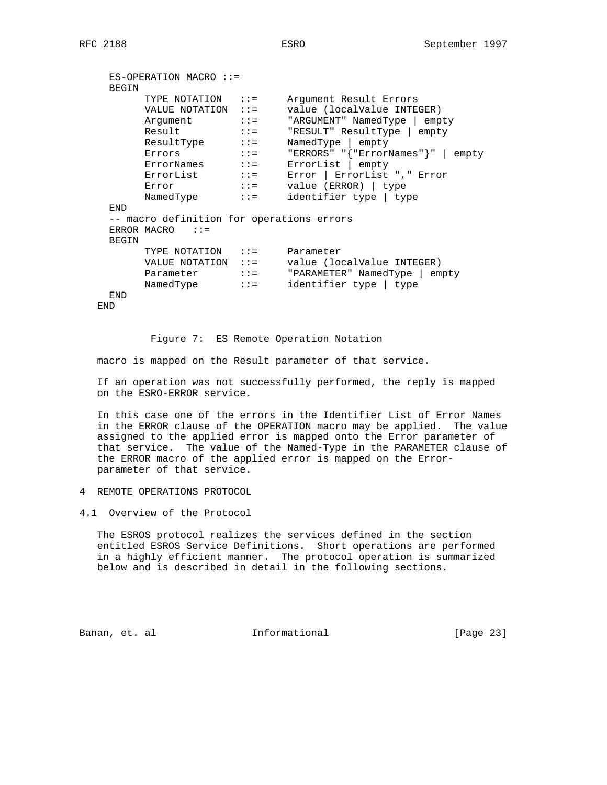```
 ES-OPERATION MACRO ::=
   BEGIN
TYPE NOTATION ::= Argument Result Errors
VALUE NOTATION ::= value (localValue INTEGER)
Argument ::= "ARGUMENT" NamedType | empty
Result ::= "RESULT" ResultType | empty
ResultType ::= NamedType | empty
Errors ::= "ERRORS" "{"ErrorNames"}" | empty
ErrorNames ::= ErrorList | empty
ErrorList ::= Error | ErrorList "," Error
Error ::= value (ERROR) | type
NamedType ::= identifier type | type
   END
   -- macro definition for operations errors
  ERROR MACRO ::=
   BEGIN
TYPE NOTATION ::= Parameter
VALUE NOTATION ::= value (localValue INTEGER)
Parameter ::= "PARAMETER" NamedType | empty
NamedType ::= identifier type | type
   END
```
END

Figure 7: ES Remote Operation Notation

macro is mapped on the Result parameter of that service.

 If an operation was not successfully performed, the reply is mapped on the ESRO-ERROR service.

 In this case one of the errors in the Identifier List of Error Names in the ERROR clause of the OPERATION macro may be applied. The value assigned to the applied error is mapped onto the Error parameter of that service. The value of the Named-Type in the PARAMETER clause of the ERROR macro of the applied error is mapped on the Error parameter of that service.

4 REMOTE OPERATIONS PROTOCOL

4.1 Overview of the Protocol

 The ESROS protocol realizes the services defined in the section entitled ESROS Service Definitions. Short operations are performed in a highly efficient manner. The protocol operation is summarized below and is described in detail in the following sections.

Banan, et. al **Informational** [Page 23]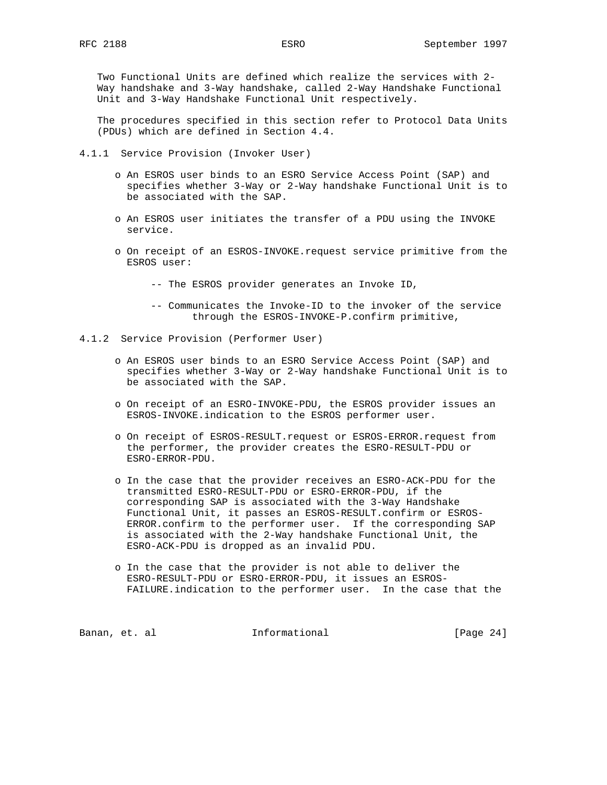Two Functional Units are defined which realize the services with 2- Way handshake and 3-Way handshake, called 2-Way Handshake Functional Unit and 3-Way Handshake Functional Unit respectively.

 The procedures specified in this section refer to Protocol Data Units (PDUs) which are defined in Section 4.4.

- 4.1.1 Service Provision (Invoker User)
	- o An ESROS user binds to an ESRO Service Access Point (SAP) and specifies whether 3-Way or 2-Way handshake Functional Unit is to be associated with the SAP.
	- o An ESROS user initiates the transfer of a PDU using the INVOKE service.
	- o On receipt of an ESROS-INVOKE.request service primitive from the ESROS user:

-- The ESROS provider generates an Invoke ID,

- -- Communicates the Invoke-ID to the invoker of the service through the ESROS-INVOKE-P.confirm primitive,
- 4.1.2 Service Provision (Performer User)
	- o An ESROS user binds to an ESRO Service Access Point (SAP) and specifies whether 3-Way or 2-Way handshake Functional Unit is to be associated with the SAP.
	- o On receipt of an ESRO-INVOKE-PDU, the ESROS provider issues an ESROS-INVOKE.indication to the ESROS performer user.
	- o On receipt of ESROS-RESULT.request or ESROS-ERROR.request from the performer, the provider creates the ESRO-RESULT-PDU or ESRO-ERROR-PDU.
	- o In the case that the provider receives an ESRO-ACK-PDU for the transmitted ESRO-RESULT-PDU or ESRO-ERROR-PDU, if the corresponding SAP is associated with the 3-Way Handshake Functional Unit, it passes an ESROS-RESULT.confirm or ESROS- ERROR.confirm to the performer user. If the corresponding SAP is associated with the 2-Way handshake Functional Unit, the ESRO-ACK-PDU is dropped as an invalid PDU.
	- o In the case that the provider is not able to deliver the ESRO-RESULT-PDU or ESRO-ERROR-PDU, it issues an ESROS- FAILURE.indication to the performer user. In the case that the

Banan, et. al **Informational** [Page 24]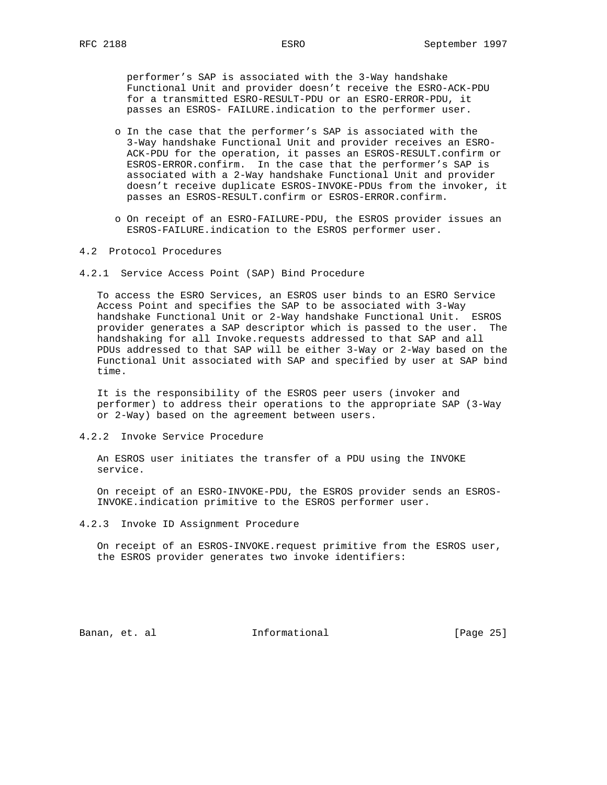performer's SAP is associated with the 3-Way handshake Functional Unit and provider doesn't receive the ESRO-ACK-PDU for a transmitted ESRO-RESULT-PDU or an ESRO-ERROR-PDU, it passes an ESROS- FAILURE.indication to the performer user.

- o In the case that the performer's SAP is associated with the 3-Way handshake Functional Unit and provider receives an ESRO- ACK-PDU for the operation, it passes an ESROS-RESULT.confirm or ESROS-ERROR.confirm. In the case that the performer's SAP is associated with a 2-Way handshake Functional Unit and provider doesn't receive duplicate ESROS-INVOKE-PDUs from the invoker, it passes an ESROS-RESULT.confirm or ESROS-ERROR.confirm.
- o On receipt of an ESRO-FAILURE-PDU, the ESROS provider issues an ESROS-FAILURE.indication to the ESROS performer user.
- 4.2 Protocol Procedures
- 4.2.1 Service Access Point (SAP) Bind Procedure

 To access the ESRO Services, an ESROS user binds to an ESRO Service Access Point and specifies the SAP to be associated with 3-Way handshake Functional Unit or 2-Way handshake Functional Unit. ESROS provider generates a SAP descriptor which is passed to the user. The handshaking for all Invoke.requests addressed to that SAP and all PDUs addressed to that SAP will be either 3-Way or 2-Way based on the Functional Unit associated with SAP and specified by user at SAP bind time.

 It is the responsibility of the ESROS peer users (invoker and performer) to address their operations to the appropriate SAP (3-Way or 2-Way) based on the agreement between users.

4.2.2 Invoke Service Procedure

 An ESROS user initiates the transfer of a PDU using the INVOKE service.

 On receipt of an ESRO-INVOKE-PDU, the ESROS provider sends an ESROS- INVOKE.indication primitive to the ESROS performer user.

4.2.3 Invoke ID Assignment Procedure

 On receipt of an ESROS-INVOKE.request primitive from the ESROS user, the ESROS provider generates two invoke identifiers:

Banan, et. al **Informational** [Page 25]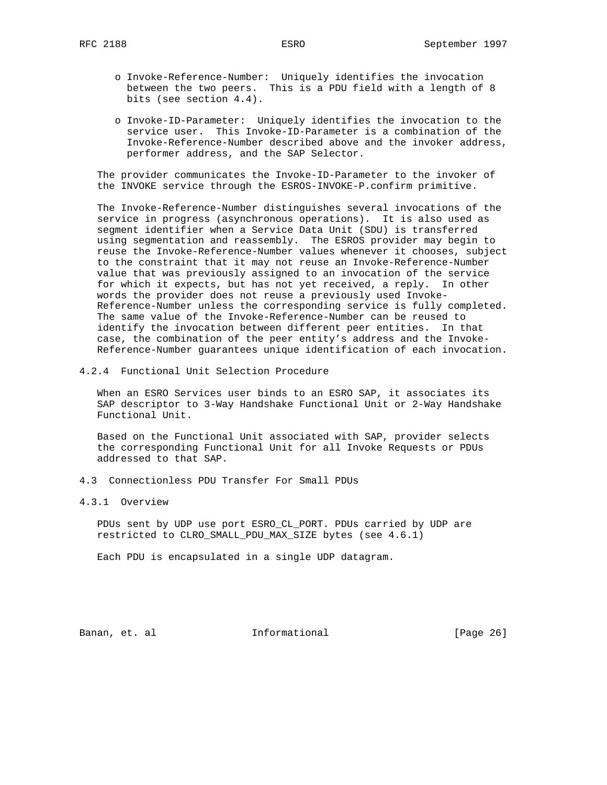- o Invoke-Reference-Number: Uniquely identifies the invocation between the two peers. This is a PDU field with a length of 8 bits (see section 4.4).
- o Invoke-ID-Parameter: Uniquely identifies the invocation to the service user. This Invoke-ID-Parameter is a combination of the Invoke-Reference-Number described above and the invoker address, performer address, and the SAP Selector.

 The provider communicates the Invoke-ID-Parameter to the invoker of the INVOKE service through the ESROS-INVOKE-P.confirm primitive.

 The Invoke-Reference-Number distinguishes several invocations of the service in progress (asynchronous operations). It is also used as segment identifier when a Service Data Unit (SDU) is transferred using segmentation and reassembly. The ESROS provider may begin to reuse the Invoke-Reference-Number values whenever it chooses, subject to the constraint that it may not reuse an Invoke-Reference-Number value that was previously assigned to an invocation of the service for which it expects, but has not yet received, a reply. In other words the provider does not reuse a previously used Invoke- Reference-Number unless the corresponding service is fully completed. The same value of the Invoke-Reference-Number can be reused to identify the invocation between different peer entities. In that case, the combination of the peer entity's address and the Invoke- Reference-Number guarantees unique identification of each invocation.

4.2.4 Functional Unit Selection Procedure

 When an ESRO Services user binds to an ESRO SAP, it associates its SAP descriptor to 3-Way Handshake Functional Unit or 2-Way Handshake Functional Unit.

 Based on the Functional Unit associated with SAP, provider selects the corresponding Functional Unit for all Invoke Requests or PDUs addressed to that SAP.

4.3 Connectionless PDU Transfer For Small PDUs

4.3.1 Overview

 PDUs sent by UDP use port ESRO\_CL\_PORT. PDUs carried by UDP are restricted to CLRO\_SMALL\_PDU\_MAX\_SIZE bytes (see 4.6.1)

Each PDU is encapsulated in a single UDP datagram.

Banan, et. al **Informational** [Page 26]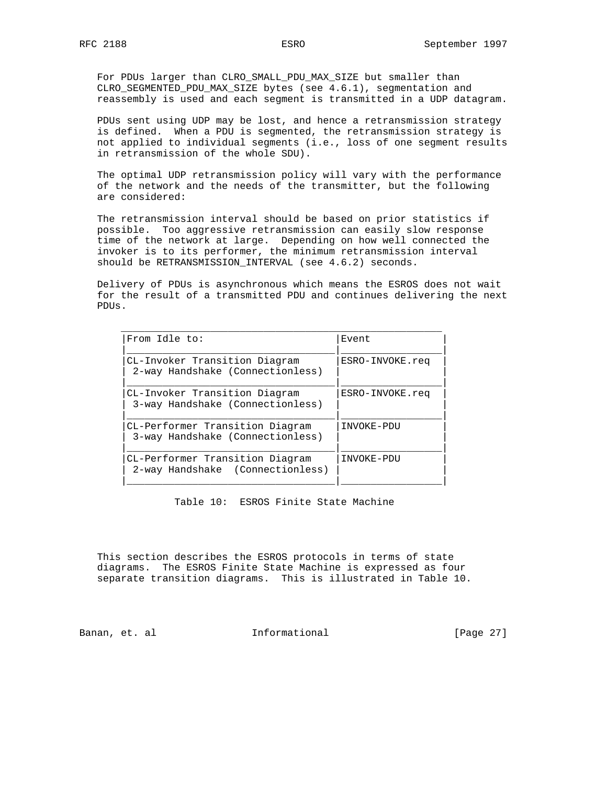For PDUs larger than CLRO\_SMALL\_PDU\_MAX\_SIZE but smaller than CLRO\_SEGMENTED\_PDU\_MAX\_SIZE bytes (see 4.6.1), segmentation and reassembly is used and each segment is transmitted in a UDP datagram.

 PDUs sent using UDP may be lost, and hence a retransmission strategy is defined. When a PDU is segmented, the retransmission strategy is not applied to individual segments (i.e., loss of one segment results in retransmission of the whole SDU).

 The optimal UDP retransmission policy will vary with the performance of the network and the needs of the transmitter, but the following are considered:

 The retransmission interval should be based on prior statistics if possible. Too aggressive retransmission can easily slow response time of the network at large. Depending on how well connected the invoker is to its performer, the minimum retransmission interval should be RETRANSMISSION\_INTERVAL (see 4.6.2) seconds.

 Delivery of PDUs is asynchronous which means the ESROS does not wait for the result of a transmitted PDU and continues delivering the next PDUs.

| CL-Invoker Transition Diagram<br>2-way Handshake (Connectionless)<br>3-way Handshake (Connectionless)<br>INVOKE-PDU<br>3-way Handshake (Connectionless)<br>INVOKE-PDU<br>2-way Handshake (Connectionless) | From Idle to: | Event           |
|-----------------------------------------------------------------------------------------------------------------------------------------------------------------------------------------------------------|---------------|-----------------|
| CL-Invoker Transition Diagram<br>CL-Performer Transition Diagram<br>CL-Performer Transition Diagram                                                                                                       |               | ESRO-INVOKE.req |
|                                                                                                                                                                                                           |               | ESRO-INVOKE.reg |
|                                                                                                                                                                                                           |               |                 |
|                                                                                                                                                                                                           |               |                 |

Table 10: ESROS Finite State Machine

 This section describes the ESROS protocols in terms of state diagrams. The ESROS Finite State Machine is expressed as four separate transition diagrams. This is illustrated in Table 10.

Banan, et. al **Informational** [Page 27]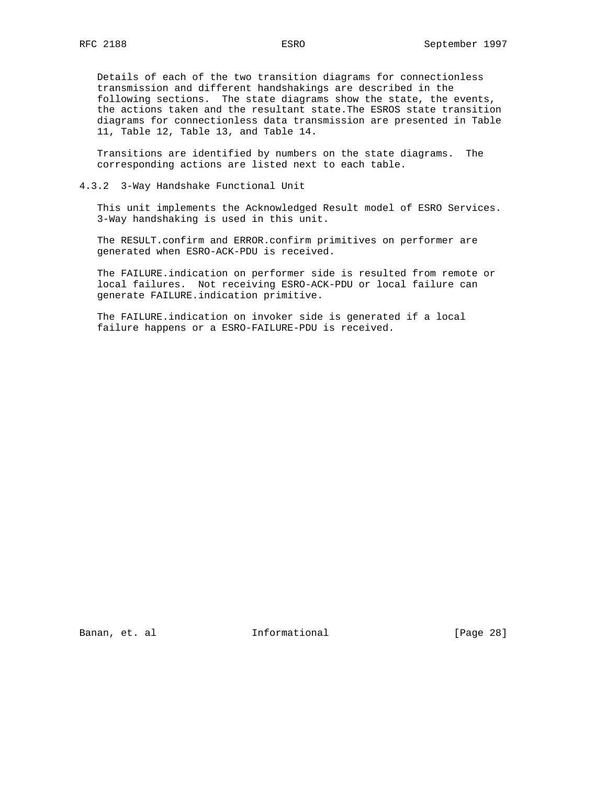Details of each of the two transition diagrams for connectionless transmission and different handshakings are described in the following sections. The state diagrams show the state, the events, the actions taken and the resultant state.The ESROS state transition diagrams for connectionless data transmission are presented in Table 11, Table 12, Table 13, and Table 14.

 Transitions are identified by numbers on the state diagrams. The corresponding actions are listed next to each table.

4.3.2 3-Way Handshake Functional Unit

 This unit implements the Acknowledged Result model of ESRO Services. 3-Way handshaking is used in this unit.

 The RESULT.confirm and ERROR.confirm primitives on performer are generated when ESRO-ACK-PDU is received.

 The FAILURE.indication on performer side is resulted from remote or local failures. Not receiving ESRO-ACK-PDU or local failure can generate FAILURE.indication primitive.

 The FAILURE.indication on invoker side is generated if a local failure happens or a ESRO-FAILURE-PDU is received.

Banan, et. al **Informational** [Page 28]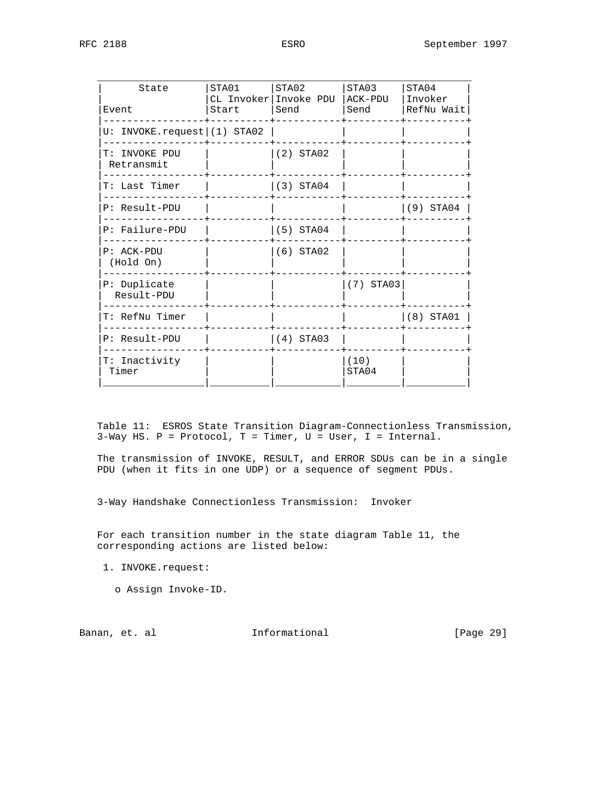| State<br>Event                 | STA01<br>Start | STA02<br>CL Invoker Invoke PDU   ACK-PDU<br>l Send | STA03<br>l Send | STA04<br>  Invoker<br> RefNu Wait |
|--------------------------------|----------------|----------------------------------------------------|-----------------|-----------------------------------|
|                                |                |                                                    |                 |                                   |
| U: INVOKE.readuest   (1) STA02 |                |                                                    |                 |                                   |
| T: INVOKE PDU<br>Retransmit    |                | $(2)$ STA02                                        |                 |                                   |
| T: Last Timer                  |                | (3) STAO4                                          |                 |                                   |
| P: Result-PDU                  |                |                                                    |                 | $(9)$ STA04                       |
| P: Failure-PDU                 |                | $(5)$ STA04                                        |                 |                                   |
| $P: ACK-PDU$<br>(Hold On)      |                | $(6)$ STA02                                        |                 |                                   |
| P: Duplicate<br>Result-PDU     |                |                                                    | $(7)$ STA03     |                                   |
| T: RefNu Timer                 |                |                                                    |                 | (8) STA01                         |
| P: Result-PDU                  |                | $(4)$ STA03                                        |                 |                                   |
| T: Inactivity<br>Timer         |                |                                                    | (10)<br>STA04   |                                   |
|                                |                |                                                    |                 |                                   |

 Table 11: ESROS State Transition Diagram-Connectionless Transmission, 3-Way HS. P = Protocol, T = Timer, U = User, I = Internal.

 The transmission of INVOKE, RESULT, and ERROR SDUs can be in a single PDU (when it fits in one UDP) or a sequence of segment PDUs.

3-Way Handshake Connectionless Transmission: Invoker

 For each transition number in the state diagram Table 11, the corresponding actions are listed below:

1. INVOKE.request:

o Assign Invoke-ID.

Banan, et. al **Informational** [Page 29]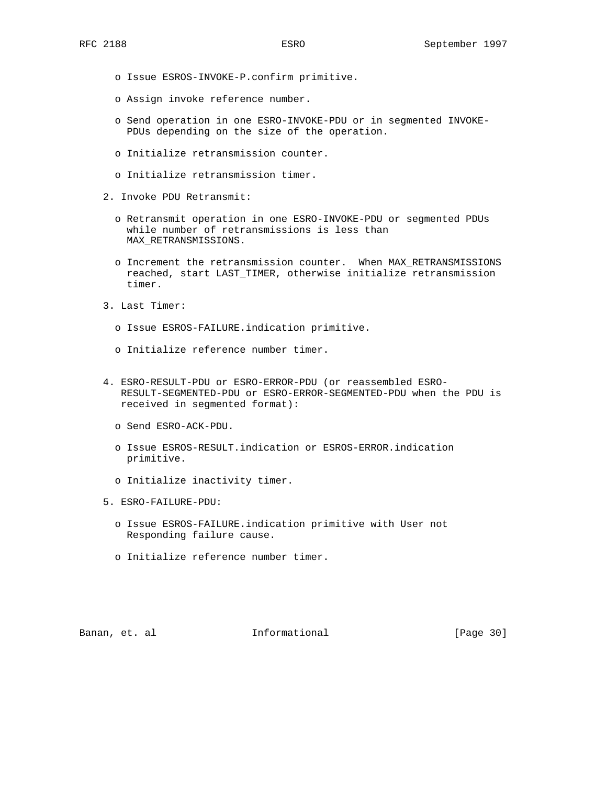- o Issue ESROS-INVOKE-P.confirm primitive.
- o Assign invoke reference number.
- o Send operation in one ESRO-INVOKE-PDU or in segmented INVOKE- PDUs depending on the size of the operation.
- o Initialize retransmission counter.
- o Initialize retransmission timer.
- 2. Invoke PDU Retransmit:
	- o Retransmit operation in one ESRO-INVOKE-PDU or segmented PDUs while number of retransmissions is less than MAX\_RETRANSMISSIONS.
	- o Increment the retransmission counter. When MAX\_RETRANSMISSIONS reached, start LAST\_TIMER, otherwise initialize retransmission timer.
- 3. Last Timer:
	- o Issue ESROS-FAILURE.indication primitive.
	- o Initialize reference number timer.
- 4. ESRO-RESULT-PDU or ESRO-ERROR-PDU (or reassembled ESRO- RESULT-SEGMENTED-PDU or ESRO-ERROR-SEGMENTED-PDU when the PDU is received in segmented format):
	- o Send ESRO-ACK-PDU.
	- o Issue ESROS-RESULT.indication or ESROS-ERROR.indication primitive.
	- o Initialize inactivity timer.
- 5. ESRO-FAILURE-PDU:
	- o Issue ESROS-FAILURE.indication primitive with User not Responding failure cause.
	- o Initialize reference number timer.

Banan, et. al **Informational** [Page 30]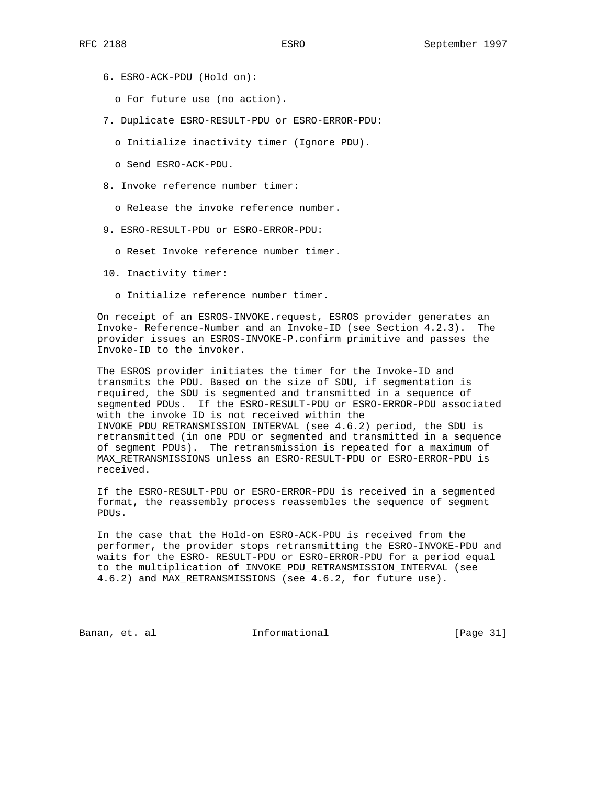- 6. ESRO-ACK-PDU (Hold on):
	- o For future use (no action).
- 7. Duplicate ESRO-RESULT-PDU or ESRO-ERROR-PDU:
	- o Initialize inactivity timer (Ignore PDU).
	- o Send ESRO-ACK-PDU.
- 8. Invoke reference number timer:
	- o Release the invoke reference number.
- 9. ESRO-RESULT-PDU or ESRO-ERROR-PDU:
	- o Reset Invoke reference number timer.
- 10. Inactivity timer:
	- o Initialize reference number timer.

 On receipt of an ESROS-INVOKE.request, ESROS provider generates an Invoke- Reference-Number and an Invoke-ID (see Section 4.2.3). The provider issues an ESROS-INVOKE-P.confirm primitive and passes the Invoke-ID to the invoker.

 The ESROS provider initiates the timer for the Invoke-ID and transmits the PDU. Based on the size of SDU, if segmentation is required, the SDU is segmented and transmitted in a sequence of segmented PDUs. If the ESRO-RESULT-PDU or ESRO-ERROR-PDU associated with the invoke ID is not received within the INVOKE\_PDU\_RETRANSMISSION\_INTERVAL (see 4.6.2) period, the SDU is retransmitted (in one PDU or segmented and transmitted in a sequence of segment PDUs). The retransmission is repeated for a maximum of MAX\_RETRANSMISSIONS unless an ESRO-RESULT-PDU or ESRO-ERROR-PDU is received.

 If the ESRO-RESULT-PDU or ESRO-ERROR-PDU is received in a segmented format, the reassembly process reassembles the sequence of segment PDUs.

 In the case that the Hold-on ESRO-ACK-PDU is received from the performer, the provider stops retransmitting the ESRO-INVOKE-PDU and waits for the ESRO- RESULT-PDU or ESRO-ERROR-PDU for a period equal to the multiplication of INVOKE\_PDU\_RETRANSMISSION\_INTERVAL (see 4.6.2) and MAX\_RETRANSMISSIONS (see 4.6.2, for future use).

Banan, et. al **Informational** [Page 31]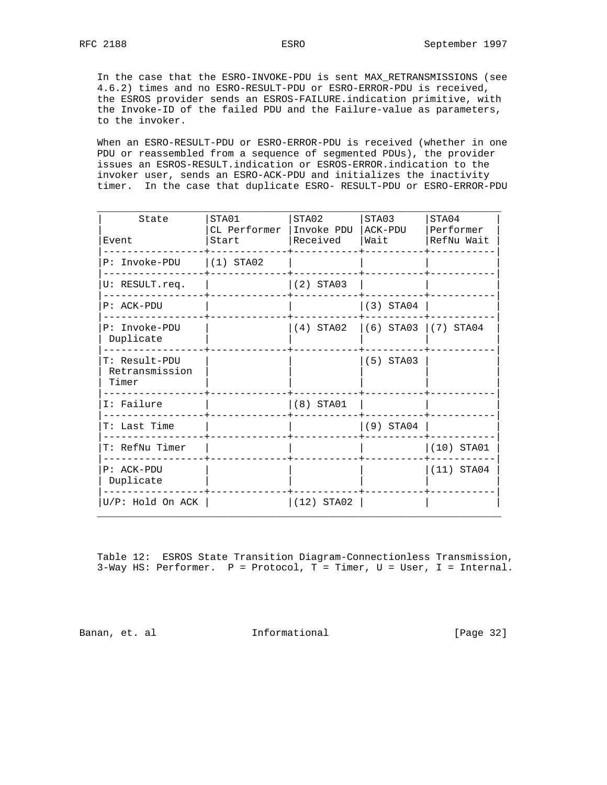In the case that the ESRO-INVOKE-PDU is sent MAX\_RETRANSMISSIONS (see 4.6.2) times and no ESRO-RESULT-PDU or ESRO-ERROR-PDU is received, the ESROS provider sends an ESROS-FAILURE.indication primitive, with the Invoke-ID of the failed PDU and the Failure-value as parameters, to the invoker.

 When an ESRO-RESULT-PDU or ESRO-ERROR-PDU is received (whether in one PDU or reassembled from a sequence of segmented PDUs), the provider issues an ESROS-RESULT.indication or ESROS-ERROR.indication to the invoker user, sends an ESRO-ACK-PDU and initializes the inactivity timer. In the case that duplicate ESRO- RESULT-PDU or ESRO-ERROR-PDU

| State                                    | STA01<br>CL Performer | STA02<br>Invoke PDU   ACK-PDU | STA03                   | STA04<br>Performer |
|------------------------------------------|-----------------------|-------------------------------|-------------------------|--------------------|
| Event                                    | Start                 | Received                      | Wait                    | RefNu Wait         |
| P: Invoke-PDU                            | $(1)$ STA02           |                               |                         |                    |
| U: RESULT.req.                           |                       | $(2)$ STA03                   |                         |                    |
| $P: ACK-PDU$                             |                       |                               | $(3)$ STA04             |                    |
| P: Invoke-PDU<br>Duplicate               |                       | (4) STA02                     | $(6)$ STA03 $(7)$ STA04 |                    |
| T: Result-PDU<br>Retransmission<br>Timer |                       |                               | $(5)$ STA03             |                    |
| I: Failure                               |                       | $(8)$ STA01                   |                         |                    |
| T: Last Time                             |                       |                               | $(9)$ STA04             |                    |
| T: RefNu Timer                           |                       |                               |                         | $(10)$ STA01       |
| P: ACK-PDU<br>Duplicate                  |                       |                               |                         | $(11)$ STA04       |
| U/P: Hold On ACK                         |                       | $ (12)$ STA02                 |                         |                    |

 Table 12: ESROS State Transition Diagram-Connectionless Transmission, 3-Way HS: Performer. P = Protocol, T = Timer, U = User, I = Internal.

Banan, et. al **Informational** [Page 32]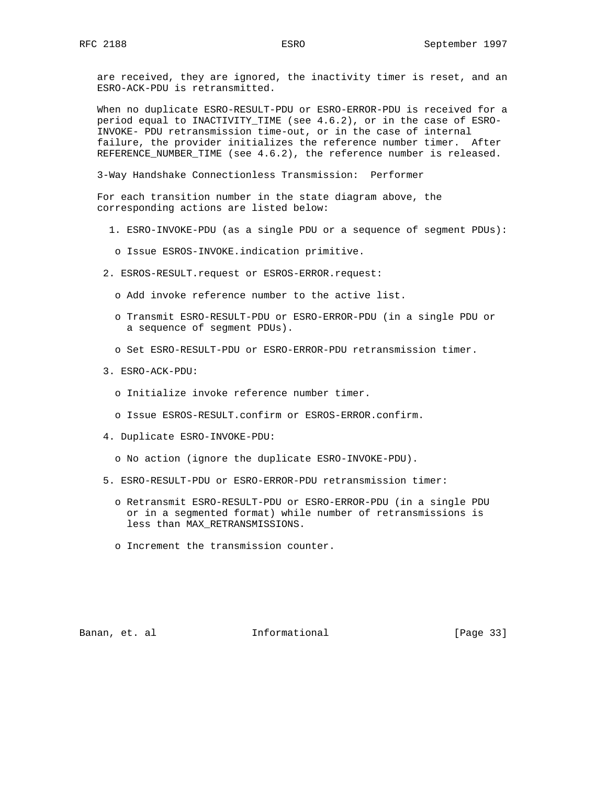are received, they are ignored, the inactivity timer is reset, and an ESRO-ACK-PDU is retransmitted.

 When no duplicate ESRO-RESULT-PDU or ESRO-ERROR-PDU is received for a period equal to INACTIVITY\_TIME (see 4.6.2), or in the case of ESRO- INVOKE- PDU retransmission time-out, or in the case of internal failure, the provider initializes the reference number timer. After REFERENCE\_NUMBER\_TIME (see 4.6.2), the reference number is released.

3-Way Handshake Connectionless Transmission: Performer

 For each transition number in the state diagram above, the corresponding actions are listed below:

- 1. ESRO-INVOKE-PDU (as a single PDU or a sequence of segment PDUs):
- o Issue ESROS-INVOKE.indication primitive.
- 2. ESROS-RESULT.request or ESROS-ERROR.request:
	- o Add invoke reference number to the active list.
	- o Transmit ESRO-RESULT-PDU or ESRO-ERROR-PDU (in a single PDU or a sequence of segment PDUs).
	- o Set ESRO-RESULT-PDU or ESRO-ERROR-PDU retransmission timer.
- 3. ESRO-ACK-PDU:
	- o Initialize invoke reference number timer.
	- o Issue ESROS-RESULT.confirm or ESROS-ERROR.confirm.
- 4. Duplicate ESRO-INVOKE-PDU:
	- o No action (ignore the duplicate ESRO-INVOKE-PDU).
- 5. ESRO-RESULT-PDU or ESRO-ERROR-PDU retransmission timer:
	- o Retransmit ESRO-RESULT-PDU or ESRO-ERROR-PDU (in a single PDU or in a segmented format) while number of retransmissions is less than MAX\_RETRANSMISSIONS.
	- o Increment the transmission counter.

Banan, et. al **Informational** [Page 33]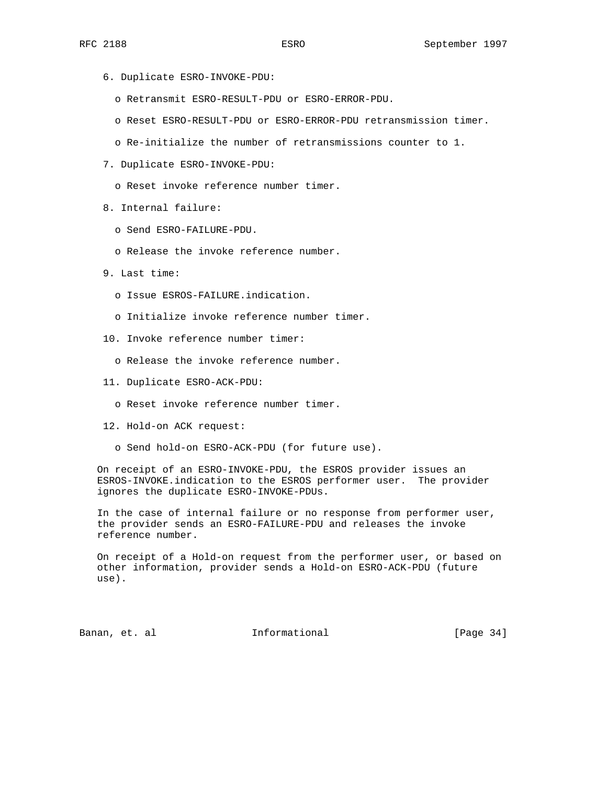- 6. Duplicate ESRO-INVOKE-PDU:
	- o Retransmit ESRO-RESULT-PDU or ESRO-ERROR-PDU.
	- o Reset ESRO-RESULT-PDU or ESRO-ERROR-PDU retransmission timer.
	- o Re-initialize the number of retransmissions counter to 1.
- 7. Duplicate ESRO-INVOKE-PDU:
	- o Reset invoke reference number timer.
- 8. Internal failure:
	- o Send ESRO-FAILURE-PDU.
	- o Release the invoke reference number.
- 9. Last time:
	- o Issue ESROS-FAILURE.indication.
	- o Initialize invoke reference number timer.
- 10. Invoke reference number timer:
	- o Release the invoke reference number.
- 11. Duplicate ESRO-ACK-PDU:
	- o Reset invoke reference number timer.
- 12. Hold-on ACK request:
	- o Send hold-on ESRO-ACK-PDU (for future use).

 On receipt of an ESRO-INVOKE-PDU, the ESROS provider issues an ESROS-INVOKE.indication to the ESROS performer user. The provider ignores the duplicate ESRO-INVOKE-PDUs.

 In the case of internal failure or no response from performer user, the provider sends an ESRO-FAILURE-PDU and releases the invoke reference number.

 On receipt of a Hold-on request from the performer user, or based on other information, provider sends a Hold-on ESRO-ACK-PDU (future use).

Banan, et. al **Informational** [Page 34]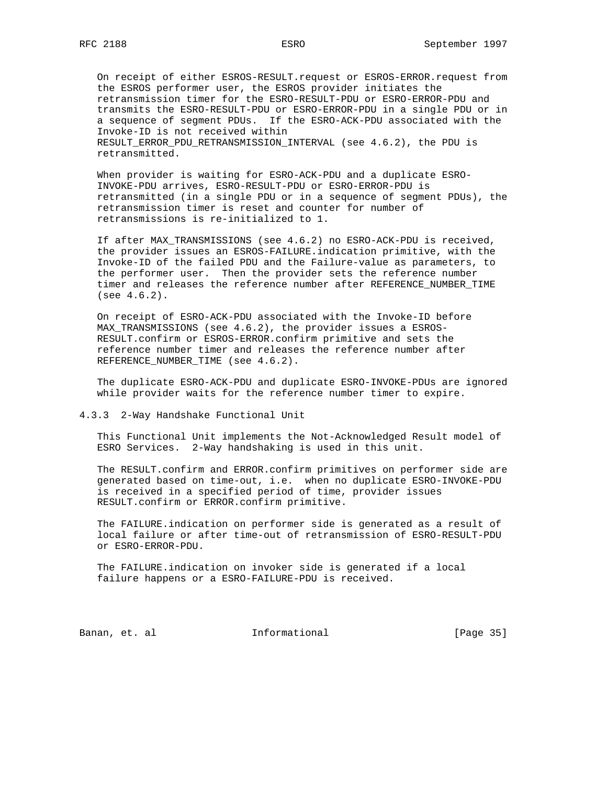On receipt of either ESROS-RESULT.request or ESROS-ERROR.request from the ESROS performer user, the ESROS provider initiates the retransmission timer for the ESRO-RESULT-PDU or ESRO-ERROR-PDU and transmits the ESRO-RESULT-PDU or ESRO-ERROR-PDU in a single PDU or in a sequence of segment PDUs. If the ESRO-ACK-PDU associated with the Invoke-ID is not received within RESULT\_ERROR\_PDU\_RETRANSMISSION\_INTERVAL (see 4.6.2), the PDU is retransmitted.

 When provider is waiting for ESRO-ACK-PDU and a duplicate ESRO- INVOKE-PDU arrives, ESRO-RESULT-PDU or ESRO-ERROR-PDU is retransmitted (in a single PDU or in a sequence of segment PDUs), the retransmission timer is reset and counter for number of retransmissions is re-initialized to 1.

 If after MAX\_TRANSMISSIONS (see 4.6.2) no ESRO-ACK-PDU is received, the provider issues an ESROS-FAILURE.indication primitive, with the Invoke-ID of the failed PDU and the Failure-value as parameters, to the performer user. Then the provider sets the reference number timer and releases the reference number after REFERENCE\_NUMBER\_TIME (see 4.6.2).

 On receipt of ESRO-ACK-PDU associated with the Invoke-ID before MAX\_TRANSMISSIONS (see 4.6.2), the provider issues a ESROS- RESULT.confirm or ESROS-ERROR.confirm primitive and sets the reference number timer and releases the reference number after REFERENCE\_NUMBER\_TIME (see 4.6.2).

 The duplicate ESRO-ACK-PDU and duplicate ESRO-INVOKE-PDUs are ignored while provider waits for the reference number timer to expire.

4.3.3 2-Way Handshake Functional Unit

 This Functional Unit implements the Not-Acknowledged Result model of ESRO Services. 2-Way handshaking is used in this unit.

 The RESULT.confirm and ERROR.confirm primitives on performer side are generated based on time-out, i.e. when no duplicate ESRO-INVOKE-PDU is received in a specified period of time, provider issues RESULT.confirm or ERROR.confirm primitive.

 The FAILURE.indication on performer side is generated as a result of local failure or after time-out of retransmission of ESRO-RESULT-PDU or ESRO-ERROR-PDU.

 The FAILURE.indication on invoker side is generated if a local failure happens or a ESRO-FAILURE-PDU is received.

Banan, et. al **Informational** [Page 35]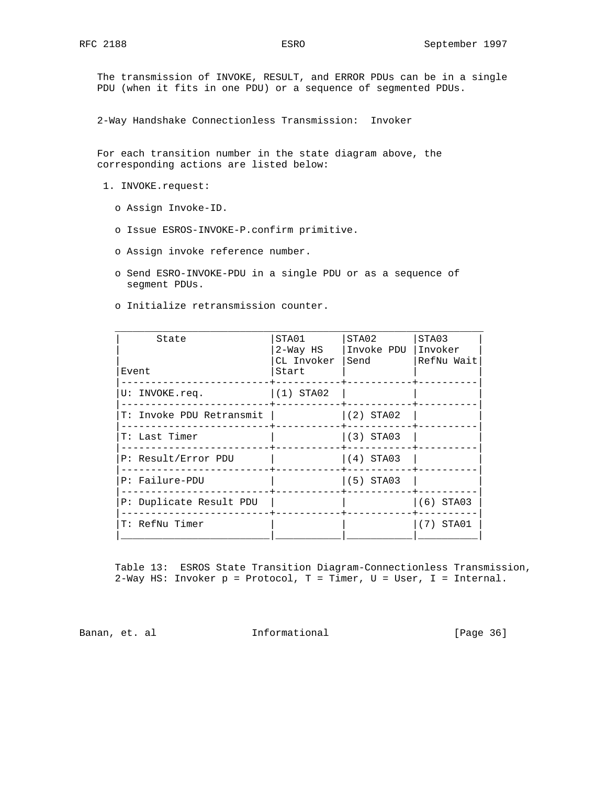The transmission of INVOKE, RESULT, and ERROR PDUs can be in a single PDU (when it fits in one PDU) or a sequence of segmented PDUs.

2-Way Handshake Connectionless Transmission: Invoker

 For each transition number in the state diagram above, the corresponding actions are listed below:

- 1. INVOKE.request:
	- o Assign Invoke-ID.
	- o Issue ESROS-INVOKE-P.confirm primitive.
	- o Assign invoke reference number.
	- o Send ESRO-INVOKE-PDU in a single PDU or as a sequence of segment PDUs.
	- o Initialize retransmission counter.

| State<br>Event           | STA01<br>2-Way HS<br>CL Invoker<br>Start | STA02<br>Invoke PDU Invoker<br>Send | STA03<br>RefNu Wait |
|--------------------------|------------------------------------------|-------------------------------------|---------------------|
| U: INVOKE.req.           | 1(1) STA02                               |                                     |                     |
| T: Invoke PDU Retransmit |                                          | $ (2)$ STA02                        |                     |
| T: Last Timer            |                                          | (3) STA03                           |                     |
| P: Result/Error PDU      |                                          | $ (4)$ STA03                        |                     |
| P: Failure-PDU           |                                          | $(5)$ STA03                         |                     |
| P: Duplicate Result PDU  |                                          |                                     | (6) STA03           |
| T: RefNu Timer           |                                          |                                     | $(7)$ STA01         |
|                          |                                          |                                     |                     |

 Table 13: ESROS State Transition Diagram-Connectionless Transmission, 2-Way HS: Invoker p = Protocol, T = Timer, U = User, I = Internal.

Banan, et. al **Informational** [Page 36]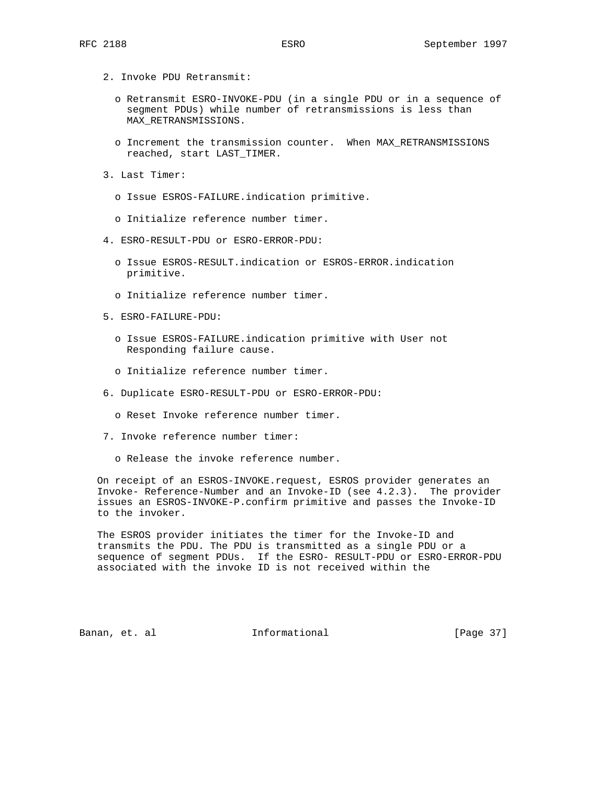- 2. Invoke PDU Retransmit:
	- o Retransmit ESRO-INVOKE-PDU (in a single PDU or in a sequence of segment PDUs) while number of retransmissions is less than MAX\_RETRANSMISSIONS.
	- o Increment the transmission counter. When MAX\_RETRANSMISSIONS reached, start LAST\_TIMER.
- 3. Last Timer:
	- o Issue ESROS-FAILURE.indication primitive.
	- o Initialize reference number timer.
- 4. ESRO-RESULT-PDU or ESRO-ERROR-PDU:
	- o Issue ESROS-RESULT.indication or ESROS-ERROR.indication primitive.
	- o Initialize reference number timer.
- 5. ESRO-FAILURE-PDU:
	- o Issue ESROS-FAILURE.indication primitive with User not Responding failure cause.
	- o Initialize reference number timer.
- 6. Duplicate ESRO-RESULT-PDU or ESRO-ERROR-PDU:
	- o Reset Invoke reference number timer.
- 7. Invoke reference number timer:
	- o Release the invoke reference number.

 On receipt of an ESROS-INVOKE.request, ESROS provider generates an Invoke- Reference-Number and an Invoke-ID (see 4.2.3). The provider issues an ESROS-INVOKE-P.confirm primitive and passes the Invoke-ID to the invoker.

 The ESROS provider initiates the timer for the Invoke-ID and transmits the PDU. The PDU is transmitted as a single PDU or a sequence of segment PDUs. If the ESRO- RESULT-PDU or ESRO-ERROR-PDU associated with the invoke ID is not received within the

Banan, et. al informational informational [Page 37]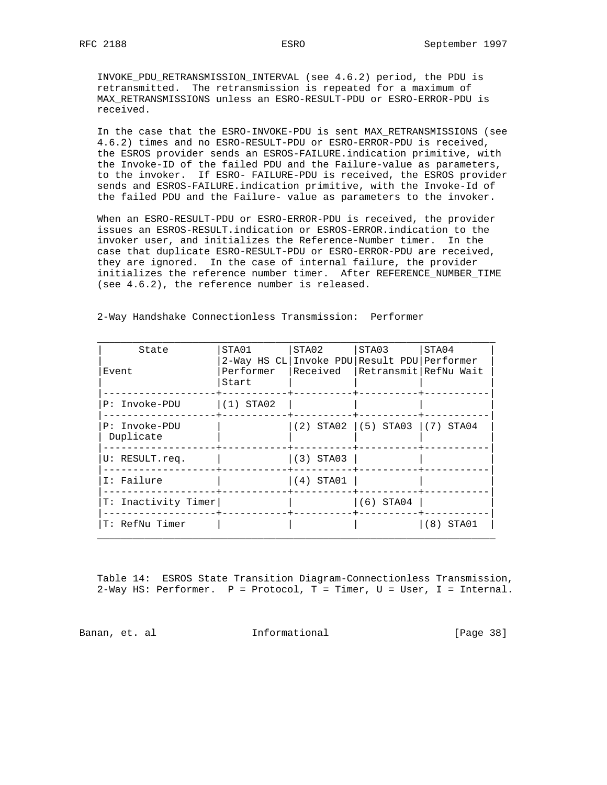INVOKE\_PDU\_RETRANSMISSION\_INTERVAL (see 4.6.2) period, the PDU is retransmitted. The retransmission is repeated for a maximum of MAX\_RETRANSMISSIONS unless an ESRO-RESULT-PDU or ESRO-ERROR-PDU is received.

 In the case that the ESRO-INVOKE-PDU is sent MAX\_RETRANSMISSIONS (see 4.6.2) times and no ESRO-RESULT-PDU or ESRO-ERROR-PDU is received, the ESROS provider sends an ESROS-FAILURE.indication primitive, with the Invoke-ID of the failed PDU and the Failure-value as parameters, to the invoker. If ESRO- FAILURE-PDU is received, the ESROS provider sends and ESROS-FAILURE.indication primitive, with the Invoke-Id of the failed PDU and the Failure- value as parameters to the invoker.

 When an ESRO-RESULT-PDU or ESRO-ERROR-PDU is received, the provider issues an ESROS-RESULT.indication or ESROS-ERROR.indication to the invoker user, and initializes the Reference-Number timer. In the case that duplicate ESRO-RESULT-PDU or ESRO-ERROR-PDU are received, they are ignored. In the case of internal failure, the provider initializes the reference number timer. After REFERENCE\_NUMBER\_TIME (see 4.6.2), the reference number is released.

| State                      | STA01                                                             | STA02       | STA03                               | STA04       |
|----------------------------|-------------------------------------------------------------------|-------------|-------------------------------------|-------------|
| Event                      | 2-Way HS CL Invoke PDU Result PDU Performer<br>Performer<br>Start | Received    | Retransmit RefNu Wait               |             |
| P: Invoke-PDU              | $(1)$ STA02                                                       |             |                                     |             |
| P: Invoke-PDU<br>Duplicate |                                                                   |             | $(2)$ STA02 $(5)$ STA03 $(7)$ STA04 |             |
| U: RESULT.req.             |                                                                   | $(3)$ STA03 |                                     |             |
| I: Failure                 |                                                                   | $(4)$ STA01 |                                     |             |
| T: Inactivity Timer        |                                                                   |             | $(6)$ STA04                         |             |
| T: RefNu Timer             |                                                                   |             |                                     | STA01<br>8) |

2-Way Handshake Connectionless Transmission: Performer

 Table 14: ESROS State Transition Diagram-Connectionless Transmission, 2-Way HS: Performer. P = Protocol, T = Timer, U = User, I = Internal.

Banan, et. al **Informational** [Page 38]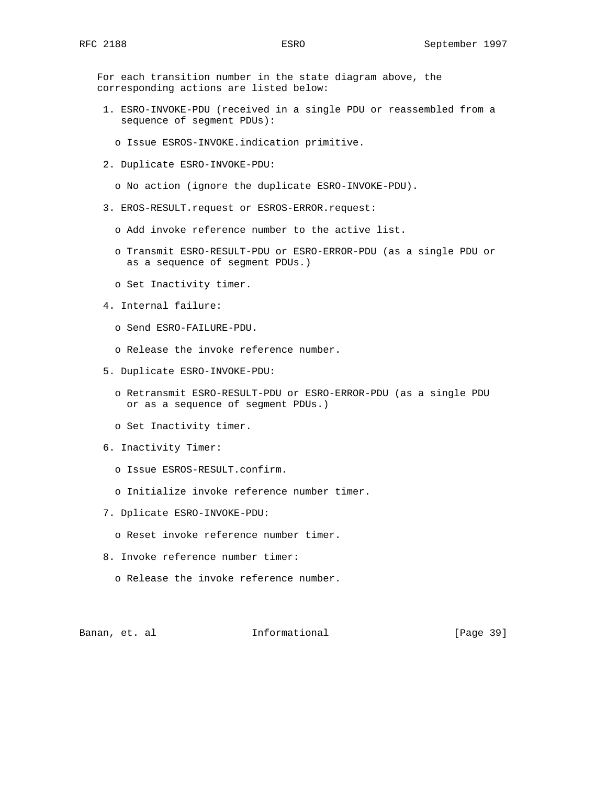For each transition number in the state diagram above, the corresponding actions are listed below:

- 1. ESRO-INVOKE-PDU (received in a single PDU or reassembled from a sequence of segment PDUs):
	- o Issue ESROS-INVOKE.indication primitive.
- 2. Duplicate ESRO-INVOKE-PDU:
	- o No action (ignore the duplicate ESRO-INVOKE-PDU).
- 3. EROS-RESULT.request or ESROS-ERROR.request:
	- o Add invoke reference number to the active list.
	- o Transmit ESRO-RESULT-PDU or ESRO-ERROR-PDU (as a single PDU or as a sequence of segment PDUs.)
	- o Set Inactivity timer.
- 4. Internal failure:
	- o Send ESRO-FAILURE-PDU.
	- o Release the invoke reference number.
- 5. Duplicate ESRO-INVOKE-PDU:
	- o Retransmit ESRO-RESULT-PDU or ESRO-ERROR-PDU (as a single PDU or as a sequence of segment PDUs.)
	- o Set Inactivity timer.
- 6. Inactivity Timer:
	- o Issue ESROS-RESULT.confirm.
	- o Initialize invoke reference number timer.
- 7. Dplicate ESRO-INVOKE-PDU:
	- o Reset invoke reference number timer.
- 8. Invoke reference number timer:
	- o Release the invoke reference number.

Banan, et. al **Informational** [Page 39]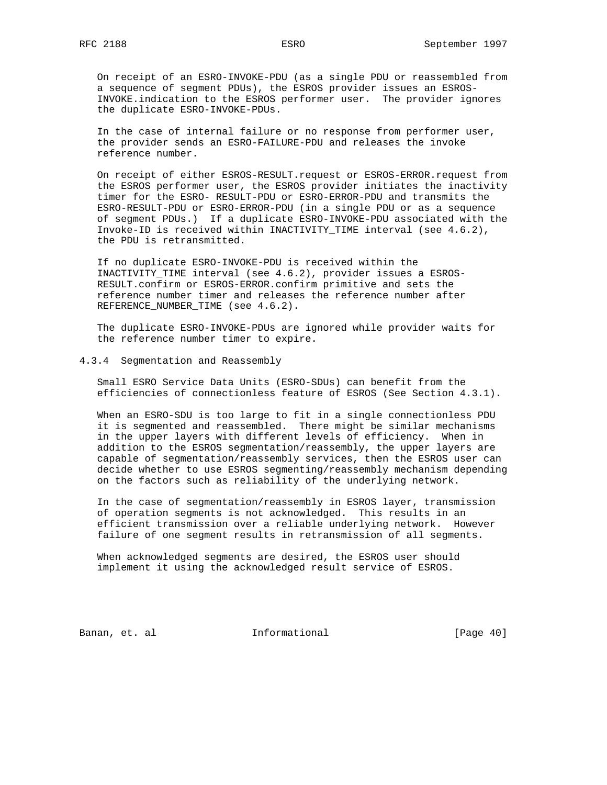On receipt of an ESRO-INVOKE-PDU (as a single PDU or reassembled from a sequence of segment PDUs), the ESROS provider issues an ESROS- INVOKE.indication to the ESROS performer user. The provider ignores the duplicate ESRO-INVOKE-PDUs.

 In the case of internal failure or no response from performer user, the provider sends an ESRO-FAILURE-PDU and releases the invoke reference number.

 On receipt of either ESROS-RESULT.request or ESROS-ERROR.request from the ESROS performer user, the ESROS provider initiates the inactivity timer for the ESRO- RESULT-PDU or ESRO-ERROR-PDU and transmits the ESRO-RESULT-PDU or ESRO-ERROR-PDU (in a single PDU or as a sequence of segment PDUs.) If a duplicate ESRO-INVOKE-PDU associated with the Invoke-ID is received within INACTIVITY\_TIME interval (see 4.6.2), the PDU is retransmitted.

 If no duplicate ESRO-INVOKE-PDU is received within the INACTIVITY\_TIME interval (see 4.6.2), provider issues a ESROS- RESULT.confirm or ESROS-ERROR.confirm primitive and sets the reference number timer and releases the reference number after REFERENCE\_NUMBER\_TIME (see 4.6.2).

 The duplicate ESRO-INVOKE-PDUs are ignored while provider waits for the reference number timer to expire.

#### 4.3.4 Segmentation and Reassembly

 Small ESRO Service Data Units (ESRO-SDUs) can benefit from the efficiencies of connectionless feature of ESROS (See Section 4.3.1).

 When an ESRO-SDU is too large to fit in a single connectionless PDU it is segmented and reassembled. There might be similar mechanisms in the upper layers with different levels of efficiency. When in addition to the ESROS segmentation/reassembly, the upper layers are capable of segmentation/reassembly services, then the ESROS user can decide whether to use ESROS segmenting/reassembly mechanism depending on the factors such as reliability of the underlying network.

 In the case of segmentation/reassembly in ESROS layer, transmission of operation segments is not acknowledged. This results in an efficient transmission over a reliable underlying network. However failure of one segment results in retransmission of all segments.

 When acknowledged segments are desired, the ESROS user should implement it using the acknowledged result service of ESROS.

Banan, et. al **Informational** [Page 40]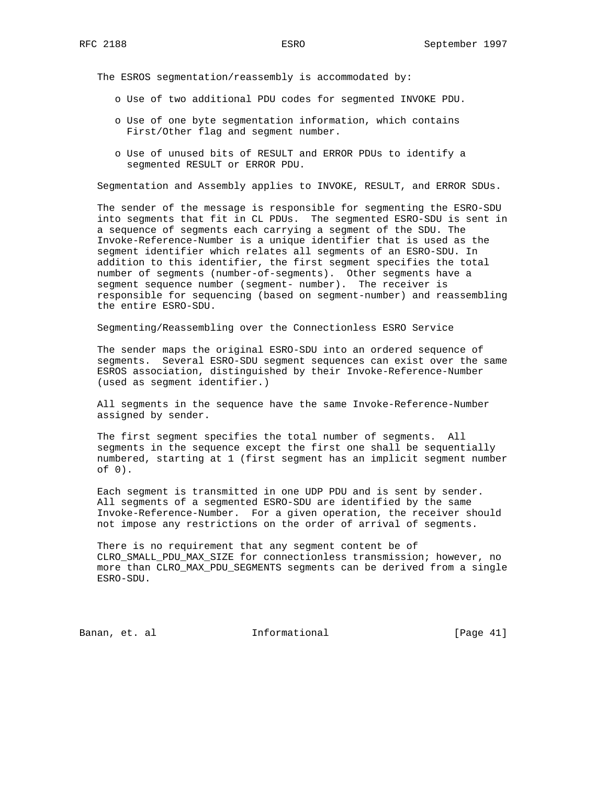The ESROS segmentation/reassembly is accommodated by:

- o Use of two additional PDU codes for segmented INVOKE PDU.
- o Use of one byte segmentation information, which contains First/Other flag and segment number.
- o Use of unused bits of RESULT and ERROR PDUs to identify a segmented RESULT or ERROR PDU.

Segmentation and Assembly applies to INVOKE, RESULT, and ERROR SDUs.

 The sender of the message is responsible for segmenting the ESRO-SDU into segments that fit in CL PDUs. The segmented ESRO-SDU is sent in a sequence of segments each carrying a segment of the SDU. The Invoke-Reference-Number is a unique identifier that is used as the segment identifier which relates all segments of an ESRO-SDU. In addition to this identifier, the first segment specifies the total number of segments (number-of-segments). Other segments have a segment sequence number (segment- number). The receiver is responsible for sequencing (based on segment-number) and reassembling the entire ESRO-SDU.

Segmenting/Reassembling over the Connectionless ESRO Service

 The sender maps the original ESRO-SDU into an ordered sequence of segments. Several ESRO-SDU segment sequences can exist over the same ESROS association, distinguished by their Invoke-Reference-Number (used as segment identifier.)

 All segments in the sequence have the same Invoke-Reference-Number assigned by sender.

 The first segment specifies the total number of segments. All segments in the sequence except the first one shall be sequentially numbered, starting at 1 (first segment has an implicit segment number of 0).

 Each segment is transmitted in one UDP PDU and is sent by sender. All segments of a segmented ESRO-SDU are identified by the same Invoke-Reference-Number. For a given operation, the receiver should not impose any restrictions on the order of arrival of segments.

 There is no requirement that any segment content be of CLRO\_SMALL\_PDU\_MAX\_SIZE for connectionless transmission; however, no more than CLRO\_MAX\_PDU\_SEGMENTS segments can be derived from a single ESRO-SDU.

Banan, et. al **Informational** [Page 41]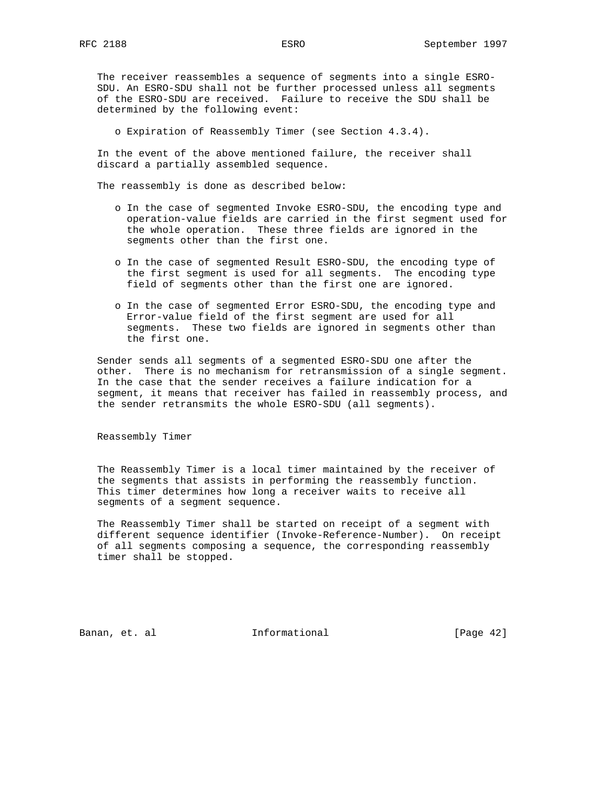The receiver reassembles a sequence of segments into a single ESRO- SDU. An ESRO-SDU shall not be further processed unless all segments of the ESRO-SDU are received. Failure to receive the SDU shall be determined by the following event:

o Expiration of Reassembly Timer (see Section 4.3.4).

 In the event of the above mentioned failure, the receiver shall discard a partially assembled sequence.

The reassembly is done as described below:

- o In the case of segmented Invoke ESRO-SDU, the encoding type and operation-value fields are carried in the first segment used for the whole operation. These three fields are ignored in the segments other than the first one.
- o In the case of segmented Result ESRO-SDU, the encoding type of the first segment is used for all segments. The encoding type field of segments other than the first one are ignored.
- o In the case of segmented Error ESRO-SDU, the encoding type and Error-value field of the first segment are used for all segments. These two fields are ignored in segments other than the first one.

 Sender sends all segments of a segmented ESRO-SDU one after the other. There is no mechanism for retransmission of a single segment. In the case that the sender receives a failure indication for a segment, it means that receiver has failed in reassembly process, and the sender retransmits the whole ESRO-SDU (all segments).

Reassembly Timer

 The Reassembly Timer is a local timer maintained by the receiver of the segments that assists in performing the reassembly function. This timer determines how long a receiver waits to receive all segments of a segment sequence.

 The Reassembly Timer shall be started on receipt of a segment with different sequence identifier (Invoke-Reference-Number). On receipt of all segments composing a sequence, the corresponding reassembly timer shall be stopped.

Banan, et. al **Informational** [Page 42]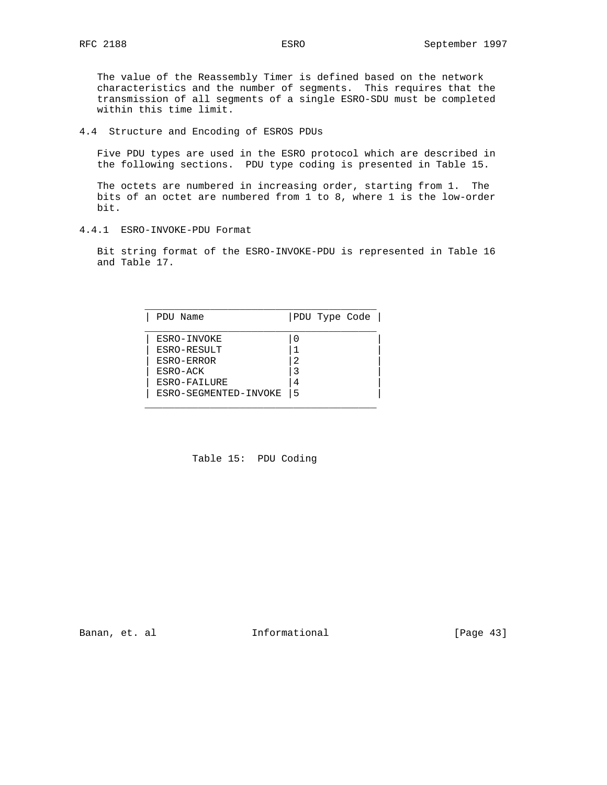The value of the Reassembly Timer is defined based on the network characteristics and the number of segments. This requires that the transmission of all segments of a single ESRO-SDU must be completed within this time limit.

4.4 Structure and Encoding of ESROS PDUs

 Five PDU types are used in the ESRO protocol which are described in the following sections. PDU type coding is presented in Table 15.

 The octets are numbered in increasing order, starting from 1. The bits of an octet are numbered from 1 to 8, where 1 is the low-order bit.

4.4.1 ESRO-INVOKE-PDU Format

 Bit string format of the ESRO-INVOKE-PDU is represented in Table 16 and Table 17.

| PDU Name              | PDU Type Code |
|-----------------------|---------------|
| ESRO-INVOKE           |               |
| ESRO-RESULT           |               |
| ESRO-ERROR            | 2             |
| ESRO-ACK              |               |
| ESRO-FAILURE          | 4             |
| ESRO-SEGMENTED-INVOKE | 5             |

Table 15: PDU Coding

Banan, et. al **Informational** [Page 43]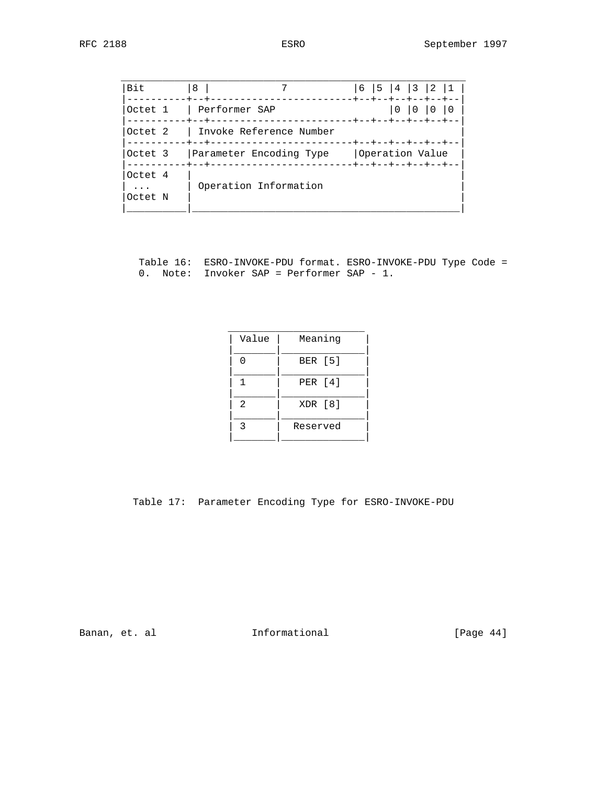| <b>Bit</b>                     | 8                                                                                  | 6<br>+--+--+--+--+--+ | 15 | 4 3            | 2 |  |
|--------------------------------|------------------------------------------------------------------------------------|-----------------------|----|----------------|---|--|
| Octet 1                        | Performer SAP                                                                      | --+--+--+--+--+--+--  |    | $\overline{0}$ |   |  |
| Octet <sub>2</sub>             | Invoke Reference Number                                                            | ----+--+--+--+--+--+- |    |                |   |  |
| Octet 3                        | Parameter Encoding Type<br>--------------------+--+--+--+--+--+--<br>$- + - - + -$ | Operation Value       |    |                |   |  |
| Octet 4<br>$\ddots$<br>Octet N | Operation Information                                                              |                       |    |                |   |  |

 Table 16: ESRO-INVOKE-PDU format. ESRO-INVOKE-PDU Type Code = 0. Note: Invoker SAP = Performer SAP - 1.

| Value          | Meaning        |
|----------------|----------------|
|                | <b>BER</b> [5] |
|                | PER [4]        |
| $\mathfrak{D}$ | XDR [8]        |
| ς              | Reserved       |
|                |                |

Table 17: Parameter Encoding Type for ESRO-INVOKE-PDU

Banan, et. al **Informational** [Page 44]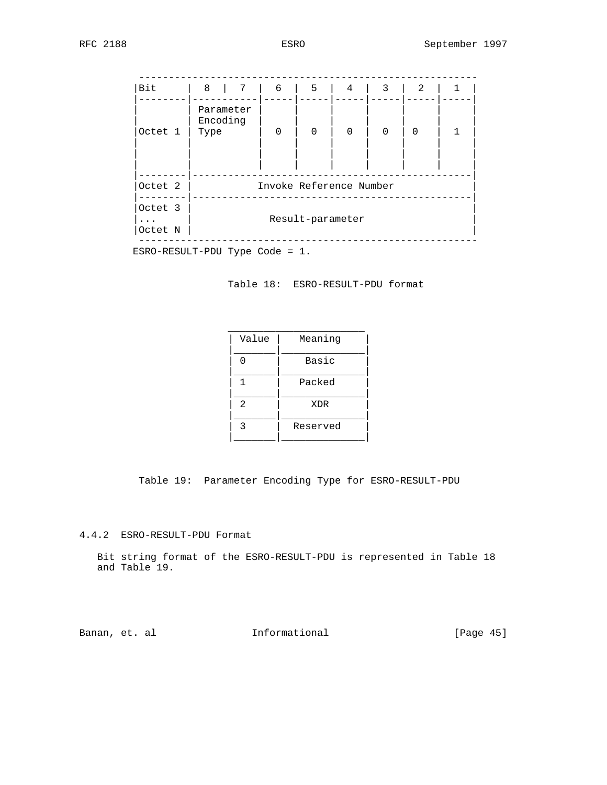| Parameter<br>Encoding<br>$\Omega$<br>$\Omega$<br>$\Omega$<br>$\mathbf 0$<br>$\Omega$<br>Type | Octet 1<br>Invoke Reference Number<br>Octet 2<br>Octet 3 | Bit | 8<br>$7\overline{ }$ | 6 | 5 | 4 | 3 | 2 |
|----------------------------------------------------------------------------------------------|----------------------------------------------------------|-----|----------------------|---|---|---|---|---|
|                                                                                              |                                                          |     |                      |   |   |   |   |   |
|                                                                                              |                                                          |     |                      |   |   |   |   |   |
|                                                                                              |                                                          |     |                      |   |   |   |   |   |

ESRO-RESULT-PDU Type Code = 1.

Table 18: ESRO-RESULT-PDU format

| Value | Meaning  |
|-------|----------|
|       |          |
|       | Basic    |
|       |          |
|       | Packed   |
|       |          |
| 2     | XDR      |
|       |          |
| ঽ     | Reserved |
|       |          |
|       |          |

Table 19: Parameter Encoding Type for ESRO-RESULT-PDU

4.4.2 ESRO-RESULT-PDU Format

 Bit string format of the ESRO-RESULT-PDU is represented in Table 18 and Table 19.

Banan, et. al **Informational** [Page 45]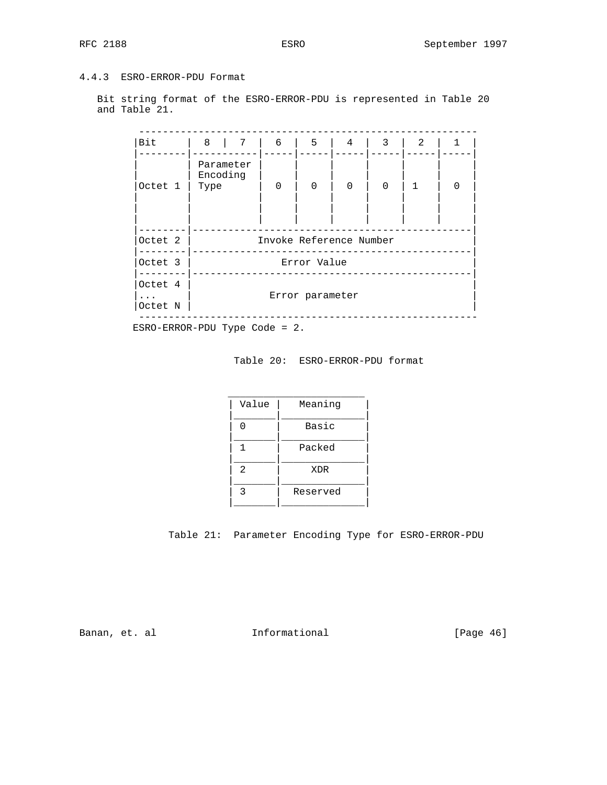# 4.4.3 ESRO-ERROR-PDU Format

 Bit string format of the ESRO-ERROR-PDU is represented in Table 20 and Table 21.

| <b>Bit</b>                                    | 8<br>$7\overline{ }$          | 6        | 5               | 4                       | 3        | 2            |
|-----------------------------------------------|-------------------------------|----------|-----------------|-------------------------|----------|--------------|
| Octet 1                                       | Parameter<br>Encoding<br>Type | $\Omega$ | $\mathbf 0$     | $\Omega$                | $\Omega$ | $\mathbf{1}$ |
|                                               |                               |          |                 |                         |          |              |
| Octet 2                                       |                               |          |                 | Invoke Reference Number |          |              |
| Octet 3                                       |                               |          | Error Value     |                         |          |              |
| Octet 4<br>$\cdot$ $\cdot$ $\cdot$<br>Octet N |                               |          | Error parameter |                         |          |              |

Table 20: ESRO-ERROR-PDU format

| Value          | Meaning  |
|----------------|----------|
|                | Basic    |
|                | Packed   |
| $\mathfrak{D}$ | XDR      |
| 3              | Reserved |
|                |          |



Banan, et. al **Informational** [Page 46]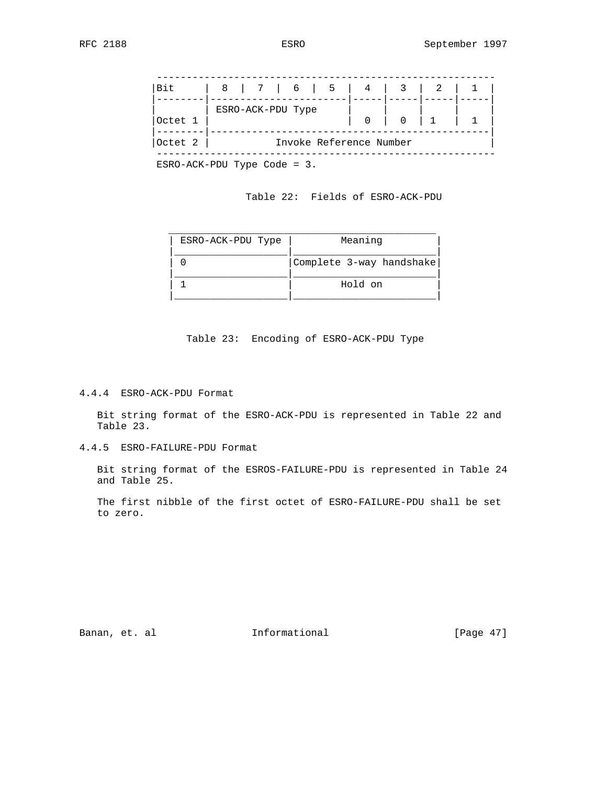--------------------------------------------------------- |Bit | 8 | 7 | 6 | 5 | 4 | 3 | 2 | 1 | |--------|-----------------------|-----|-----|-----|-----|  $|$  ESRO-ACK-PDU Type |Octet 1 | | 0 | 0 | 1 | 1 | |--------|-----------------------------------------------| Octet 2 | Invoke Reference Number ---------------------------------------------------------

ESRO-ACK-PDU Type Code = 3.

#### Table 22: Fields of ESRO-ACK-PDU

| ESRO-ACK-PDU Type | Meaning                  |
|-------------------|--------------------------|
|                   | Complete 3-way handshake |
|                   | Hold on                  |

Table 23: Encoding of ESRO-ACK-PDU Type

4.4.4 ESRO-ACK-PDU Format

 Bit string format of the ESRO-ACK-PDU is represented in Table 22 and Table 23.

4.4.5 ESRO-FAILURE-PDU Format

 Bit string format of the ESROS-FAILURE-PDU is represented in Table 24 and Table 25.

 The first nibble of the first octet of ESRO-FAILURE-PDU shall be set to zero.

Banan, et. al **Informational** [Page 47]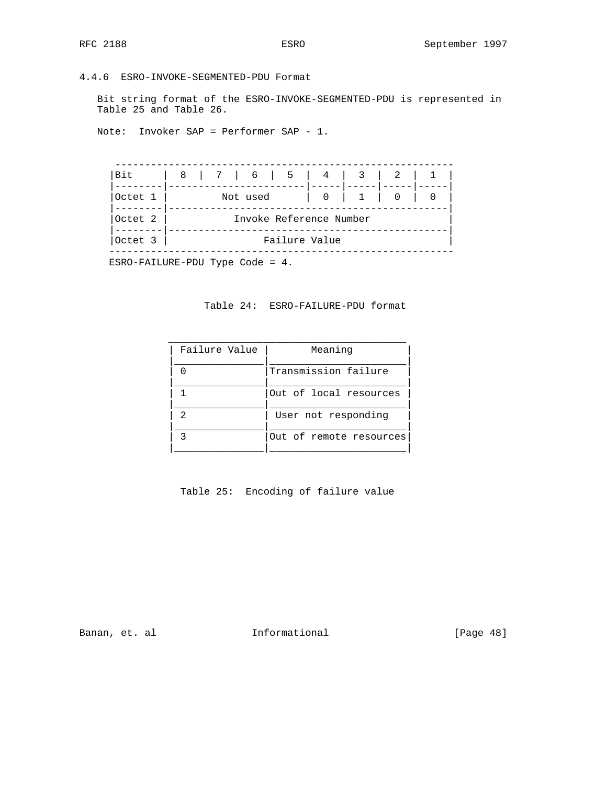4.4.6 ESRO-INVOKE-SEGMENTED-PDU Format

 Bit string format of the ESRO-INVOKE-SEGMENTED-PDU is represented in Table 25 and Table 26.

Note: Invoker SAP = Performer SAP - 1.

 --------------------------------------------------------- |Bit | 8 | 7 | 6 | 5 | 4 | 3 | 2 | 1 | |--------|-----------------------|-----|-----|-----|-----| |Octet 1 | Not used | 0 | 1 | 0 | 0 | |--------|-----------------------------------------------| |Octet 2 | Invoke Reference Number | |--------|-----------------------------------------------| |Octet 3 | Failure Value | ----------------------------------------------------------

ESRO-FAILURE-PDU Type Code = 4.

#### Table 24: ESRO-FAILURE-PDU format

| Failure Value  | Meaning                 |
|----------------|-------------------------|
|                |                         |
|                | Transmission failure    |
|                |                         |
|                | Out of local resources  |
|                |                         |
| $\mathfrak{D}$ | User not responding     |
|                |                         |
| っ              | Out of remote resources |
|                |                         |
|                |                         |

Table 25: Encoding of failure value

Banan, et. al **Informational** [Page 48]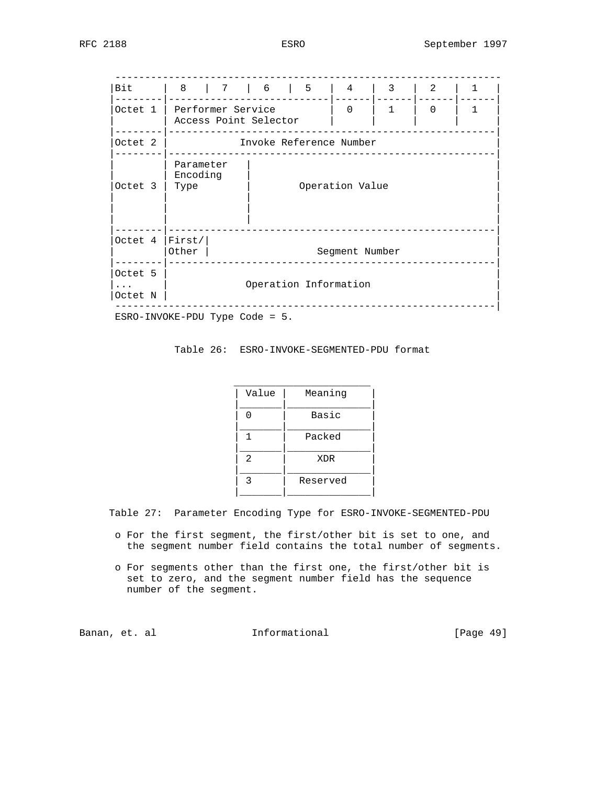----------------------------------------------------------------- |Bit | 8 | 7 | 6 | 5 | 4 | 3 | 2 | 1 | |--------|---------------------------|------|------|------|------| |Octet 1 | Performer Service | 0 | 1 | 0 | 1 | | | Access Point Selector | | | | | |--------|-------------------------------------------------------| Octet 2 | Invoke Reference Number |--------|-------------------------------------------------------| | Parameter | | Encoding | | |Octet 3 | Type | Operation Value | O | | | | | | | | | | | | |--------|-------------------------------------------------------| Octet 4 | First/ |<br>| Other | Segment Number |--------|-------------------------------------------------------| |Octet 5 | | |... | Operation Information |  $|\text{Octet N }|$  ----------------------------------------------------------------| ESRO-INVOKE-PDU Type Code = 5.

Table 26: ESRO-INVOKE-SEGMENTED-PDU format

| Value          | Meaning  |
|----------------|----------|
| n              | Basic    |
|                | Packed   |
| $\mathfrak{D}$ | XDR      |
| ঽ              | Reserved |
|                |          |

Table 27: Parameter Encoding Type for ESRO-INVOKE-SEGMENTED-PDU

- o For the first segment, the first/other bit is set to one, and the segment number field contains the total number of segments.
- o For segments other than the first one, the first/other bit is set to zero, and the segment number field has the sequence number of the segment.

Banan, et. al **Informational** [Page 49]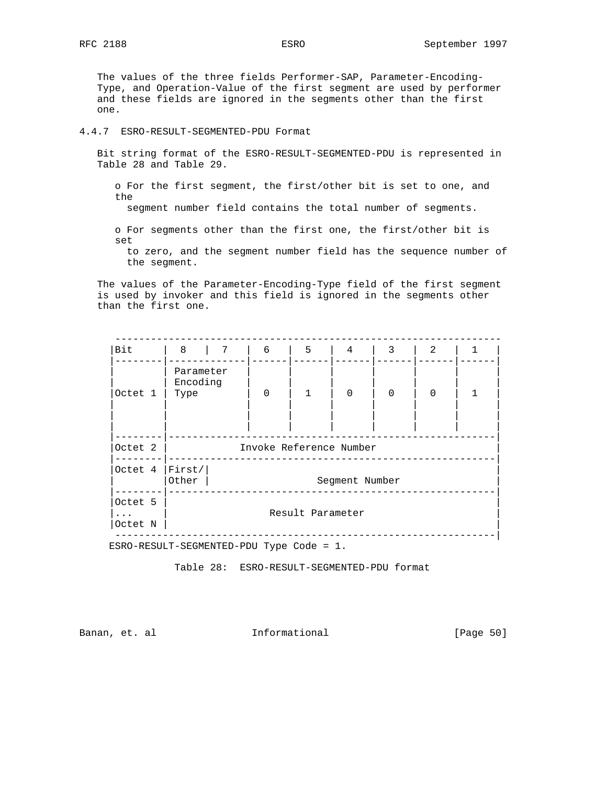The values of the three fields Performer-SAP, Parameter-Encoding- Type, and Operation-Value of the first segment are used by performer and these fields are ignored in the segments other than the first one.

4.4.7 ESRO-RESULT-SEGMENTED-PDU Format

 Bit string format of the ESRO-RESULT-SEGMENTED-PDU is represented in Table 28 and Table 29.

 o For the first segment, the first/other bit is set to one, and the

segment number field contains the total number of segments.

 o For segments other than the first one, the first/other bit is set

 to zero, and the segment number field has the sequence number of the segment.

 The values of the Parameter-Encoding-Type field of the first segment is used by invoker and this field is ignored in the segments other than the first one.

| Bit              | 8<br>$\overline{7}$   | 6                       | 5                | 4              | 3        | 2        |   |
|------------------|-----------------------|-------------------------|------------------|----------------|----------|----------|---|
|                  | Parameter<br>Encoding |                         |                  |                |          |          |   |
| Octet 1          | Type                  | $\Omega$                | $\mathbf{1}$     | $\Omega$       | $\Omega$ | $\Omega$ | 1 |
|                  |                       |                         |                  |                |          |          |   |
|                  |                       |                         |                  |                |          |          |   |
|                  |                       |                         |                  |                |          |          |   |
| Octet 2          |                       | Invoke Reference Number |                  |                |          |          |   |
| Octet 4   First/ |                       |                         |                  |                |          |          |   |
|                  | Other                 |                         |                  | Segment Number |          |          |   |
|                  |                       |                         |                  |                |          |          |   |
| Octet 5          |                       |                         |                  |                |          |          |   |
| $\ddots$         |                       |                         | Result Parameter |                |          |          |   |
| Octet N          |                       |                         |                  |                |          |          |   |

ESRO-RESULT-SEGMENTED-PDU Type Code = 1.

Table 28: ESRO-RESULT-SEGMENTED-PDU format

Banan, et. al informational informational [Page 50]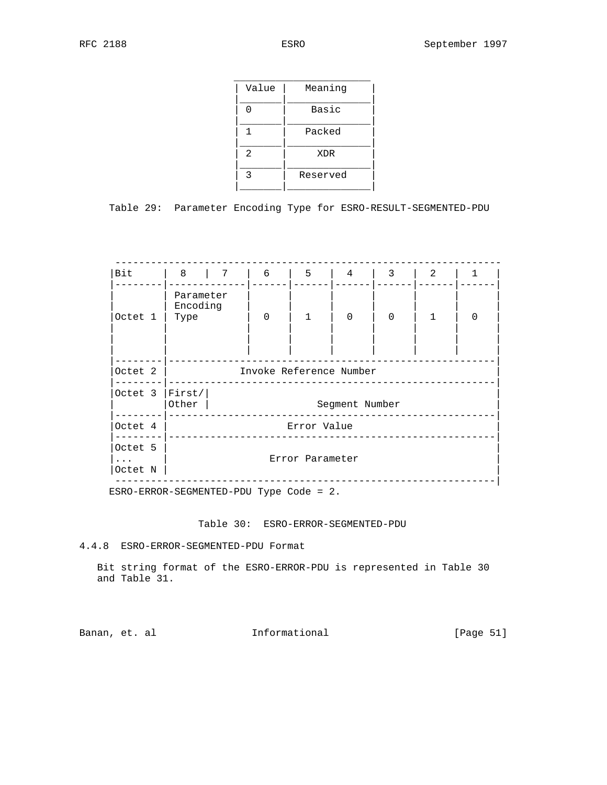| Value | Meaning  |
|-------|----------|
|       | Basic    |
|       | Packed   |
| 2     | XDR      |
| ঽ     | Reserved |
|       |          |

Table 29: Parameter Encoding Type for ESRO-RESULT-SEGMENTED-PDU

| Bit                 | 8   7                              |  | 6                       | 5               | 4        | 3        | 2            | 1        |  |  |
|---------------------|------------------------------------|--|-------------------------|-----------------|----------|----------|--------------|----------|--|--|
| Octet 1             | Parameter<br>Encoding<br>Type      |  | $\Omega$                | $\mathbf{1}$    | $\Omega$ | $\Omega$ | $\mathbf{1}$ | $\Omega$ |  |  |
|                     |                                    |  |                         |                 |          |          |              |          |  |  |
| Octet 2             |                                    |  | Invoke Reference Number |                 |          |          |              |          |  |  |
| Octet $3$           | First/ <br>Other<br>Segment Number |  |                         |                 |          |          |              |          |  |  |
| Octet 4             | Error Value                        |  |                         |                 |          |          |              |          |  |  |
| Octet 5             |                                    |  |                         |                 |          |          |              |          |  |  |
| $\cdots$<br>Octet N |                                    |  |                         | Error Parameter |          |          |              |          |  |  |

ESRO-ERROR-SEGMENTED-PDU Type Code = 2.

Table 30: ESRO-ERROR-SEGMENTED-PDU

4.4.8 ESRO-ERROR-SEGMENTED-PDU Format

 Bit string format of the ESRO-ERROR-PDU is represented in Table 30 and Table 31.

Banan, et. al **Informational** [Page 51]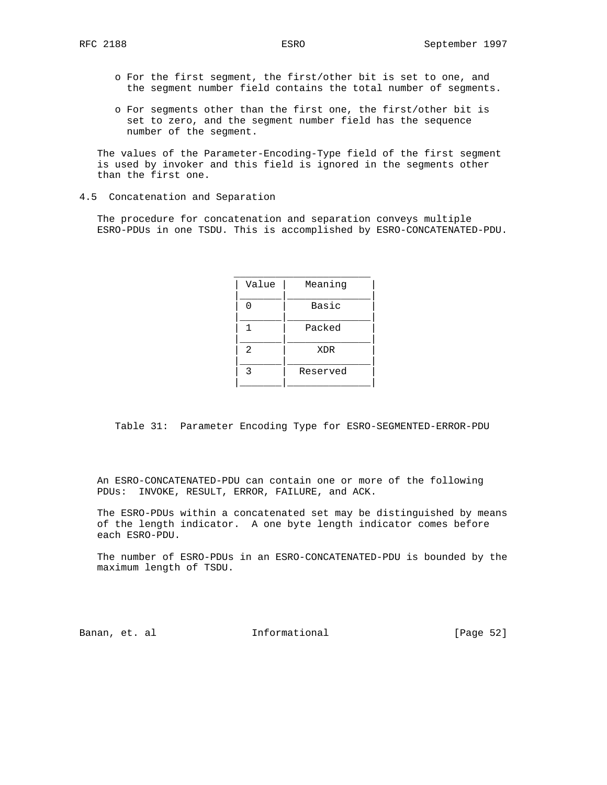- o For the first segment, the first/other bit is set to one, and the segment number field contains the total number of segments.
- o For segments other than the first one, the first/other bit is set to zero, and the segment number field has the sequence number of the segment.

 The values of the Parameter-Encoding-Type field of the first segment is used by invoker and this field is ignored in the segments other than the first one.

#### 4.5 Concatenation and Separation

 The procedure for concatenation and separation conveys multiple ESRO-PDUs in one TSDU. This is accomplished by ESRO-CONCATENATED-PDU.

| Value         | Meaning  |
|---------------|----------|
|               |          |
|               | Basic    |
|               |          |
|               | Packed   |
|               |          |
| $\mathcal{L}$ | XDR      |
|               |          |
| ς             | Reserved |
|               |          |
|               |          |

Table 31: Parameter Encoding Type for ESRO-SEGMENTED-ERROR-PDU

 An ESRO-CONCATENATED-PDU can contain one or more of the following PDUs: INVOKE, RESULT, ERROR, FAILURE, and ACK.

 The ESRO-PDUs within a concatenated set may be distinguished by means of the length indicator. A one byte length indicator comes before each ESRO-PDU.

 The number of ESRO-PDUs in an ESRO-CONCATENATED-PDU is bounded by the maximum length of TSDU.

Banan, et. al informational informational [Page 52]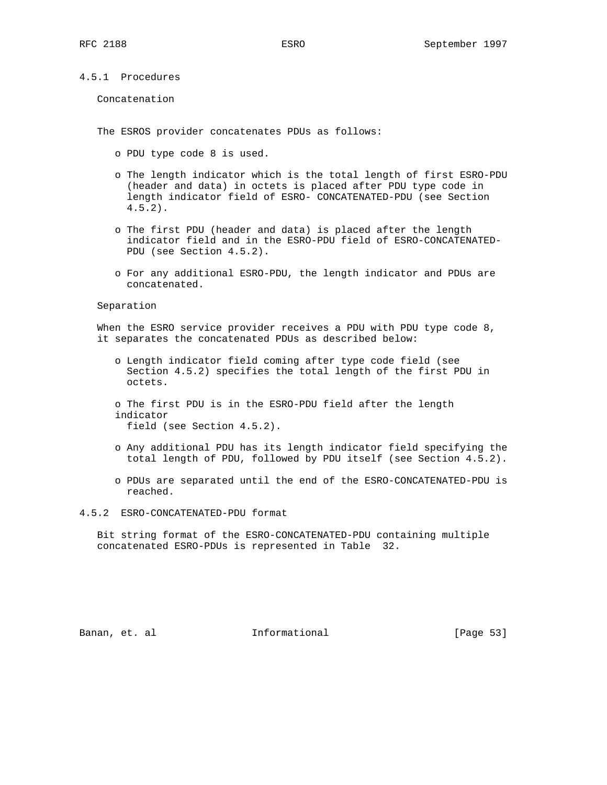### 4.5.1 Procedures

Concatenation

The ESROS provider concatenates PDUs as follows:

- o PDU type code 8 is used.
- o The length indicator which is the total length of first ESRO-PDU (header and data) in octets is placed after PDU type code in length indicator field of ESRO- CONCATENATED-PDU (see Section 4.5.2).
- o The first PDU (header and data) is placed after the length indicator field and in the ESRO-PDU field of ESRO-CONCATENATED- PDU (see Section 4.5.2).
- o For any additional ESRO-PDU, the length indicator and PDUs are concatenated.

Separation

 When the ESRO service provider receives a PDU with PDU type code 8, it separates the concatenated PDUs as described below:

- o Length indicator field coming after type code field (see Section 4.5.2) specifies the total length of the first PDU in octets.
- o The first PDU is in the ESRO-PDU field after the length indicator field (see Section 4.5.2).
- o Any additional PDU has its length indicator field specifying the total length of PDU, followed by PDU itself (see Section 4.5.2).
- o PDUs are separated until the end of the ESRO-CONCATENATED-PDU is reached.

4.5.2 ESRO-CONCATENATED-PDU format

 Bit string format of the ESRO-CONCATENATED-PDU containing multiple concatenated ESRO-PDUs is represented in Table 32.

Banan, et. al **Informational** [Page 53]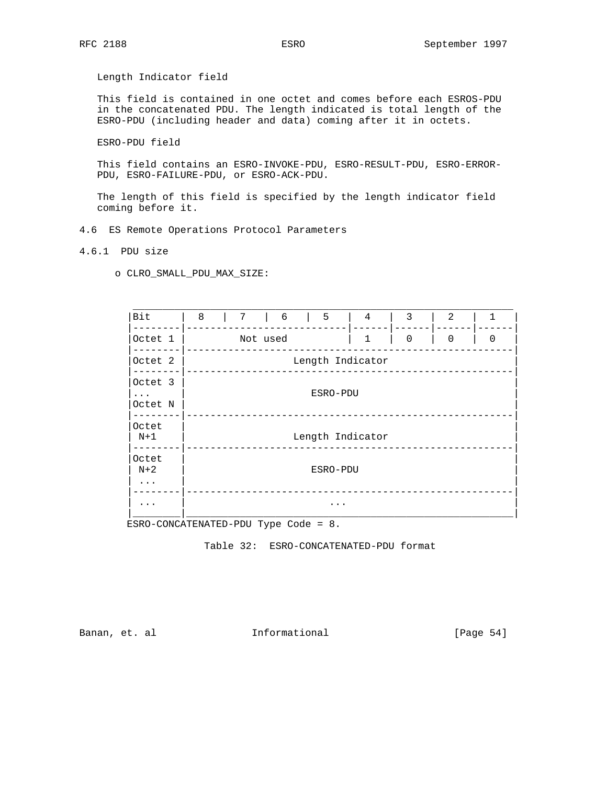Length Indicator field

 This field is contained in one octet and comes before each ESROS-PDU in the concatenated PDU. The length indicated is total length of the ESRO-PDU (including header and data) coming after it in octets.

ESRO-PDU field

 This field contains an ESRO-INVOKE-PDU, ESRO-RESULT-PDU, ESRO-ERROR- PDU, ESRO-FAILURE-PDU, or ESRO-ACK-PDU.

 The length of this field is specified by the length indicator field coming before it.

4.6 ES Remote Operations Protocol Parameters

4.6.1 PDU size

o CLRO\_SMALL\_PDU\_MAX\_SIZE:

| Bit                                | 8 | $7\overline{ }$ | $6\overline{6}$ | $\vert$ 5 | $\overline{4}$   | 3           | 2           | 1        |
|------------------------------------|---|-----------------|-----------------|-----------|------------------|-------------|-------------|----------|
| Octet 1                            |   | Not used        |                 |           | $\mathbf{1}$     | $\mathbf 0$ | $\mathbf 0$ | $\Omega$ |
| Octet 2                            |   |                 |                 |           | Length Indicator |             |             |          |
| Octet 3                            |   |                 |                 |           |                  |             |             |          |
| $\cdot$ $\cdot$ $\cdot$<br>Octet N |   |                 |                 | ESRO-PDU  |                  |             |             |          |
| Octet<br>N+1                       |   |                 |                 |           | Length Indicator |             |             |          |
| Octet<br>$N+2$                     |   |                 |                 | ESRO-PDU  |                  |             |             |          |
| $\cdots$                           |   |                 |                 |           |                  |             |             |          |

ESRO-CONCATENATED-PDU Type Code = 8.

Table 32: ESRO-CONCATENATED-PDU format

Banan, et. al **Informational** [Page 54]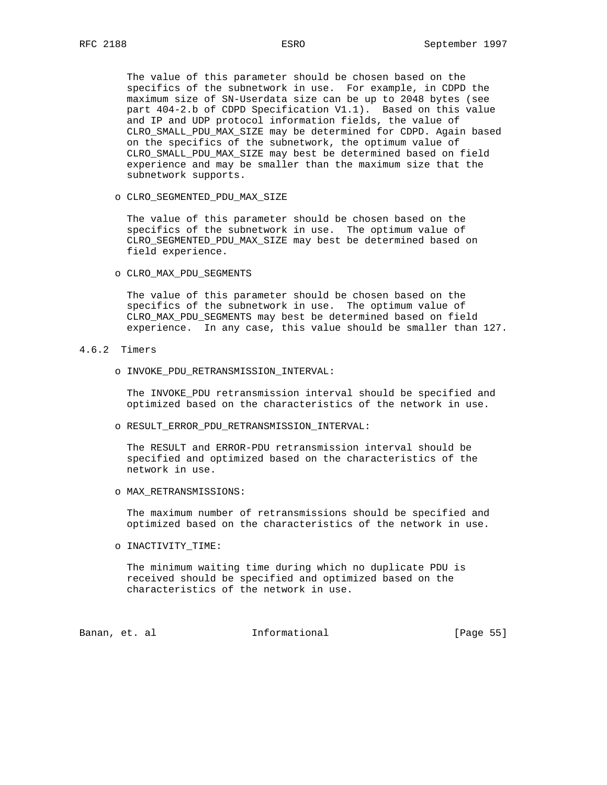The value of this parameter should be chosen based on the specifics of the subnetwork in use. For example, in CDPD the maximum size of SN-Userdata size can be up to 2048 bytes (see part 404-2.b of CDPD Specification V1.1). Based on this value and IP and UDP protocol information fields, the value of CLRO\_SMALL\_PDU\_MAX\_SIZE may be determined for CDPD. Again based on the specifics of the subnetwork, the optimum value of CLRO\_SMALL\_PDU\_MAX\_SIZE may best be determined based on field experience and may be smaller than the maximum size that the subnetwork supports.

o CLRO\_SEGMENTED\_PDU\_MAX\_SIZE

 The value of this parameter should be chosen based on the specifics of the subnetwork in use. The optimum value of CLRO\_SEGMENTED\_PDU\_MAX\_SIZE may best be determined based on field experience.

o CLRO\_MAX\_PDU\_SEGMENTS

 The value of this parameter should be chosen based on the specifics of the subnetwork in use. The optimum value of CLRO\_MAX\_PDU\_SEGMENTS may best be determined based on field experience. In any case, this value should be smaller than 127.

#### 4.6.2 Timers

o INVOKE\_PDU\_RETRANSMISSION\_INTERVAL:

 The INVOKE\_PDU retransmission interval should be specified and optimized based on the characteristics of the network in use.

o RESULT\_ERROR\_PDU\_RETRANSMISSION\_INTERVAL:

 The RESULT and ERROR-PDU retransmission interval should be specified and optimized based on the characteristics of the network in use.

o MAX\_RETRANSMISSIONS:

 The maximum number of retransmissions should be specified and optimized based on the characteristics of the network in use.

o INACTIVITY\_TIME:

 The minimum waiting time during which no duplicate PDU is received should be specified and optimized based on the characteristics of the network in use.

Banan, et. al **Informational** [Page 55]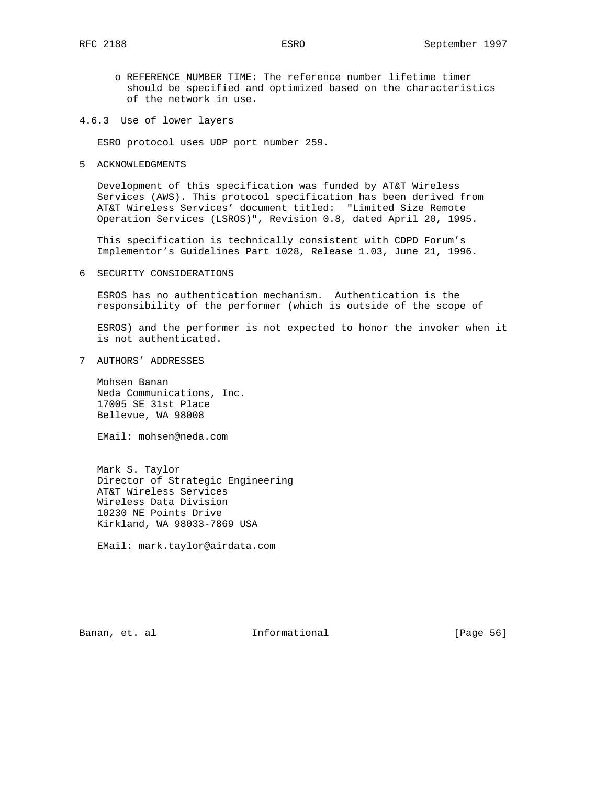o REFERENCE\_NUMBER\_TIME: The reference number lifetime timer should be specified and optimized based on the characteristics of the network in use.

4.6.3 Use of lower layers

ESRO protocol uses UDP port number 259.

5 ACKNOWLEDGMENTS

 Development of this specification was funded by AT&T Wireless Services (AWS). This protocol specification has been derived from AT&T Wireless Services' document titled: "Limited Size Remote Operation Services (LSROS)", Revision 0.8, dated April 20, 1995.

 This specification is technically consistent with CDPD Forum's Implementor's Guidelines Part 1028, Release 1.03, June 21, 1996.

6 SECURITY CONSIDERATIONS

 ESROS has no authentication mechanism. Authentication is the responsibility of the performer (which is outside of the scope of

 ESROS) and the performer is not expected to honor the invoker when it is not authenticated.

7 AUTHORS' ADDRESSES

 Mohsen Banan Neda Communications, Inc. 17005 SE 31st Place Bellevue, WA 98008

EMail: mohsen@neda.com

 Mark S. Taylor Director of Strategic Engineering AT&T Wireless Services Wireless Data Division 10230 NE Points Drive Kirkland, WA 98033-7869 USA

EMail: mark.taylor@airdata.com

Banan, et. al **Informational** [Page 56]